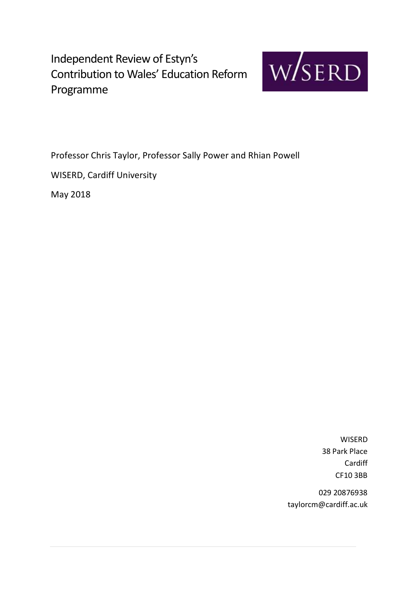

Professor Chris Taylor, Professor Sally Power and Rhian Powell WISERD, Cardiff University

May 2018

WISERD 38 Park Place Cardiff CF10 3BB

029 20876938 taylorcm@cardiff.ac.uk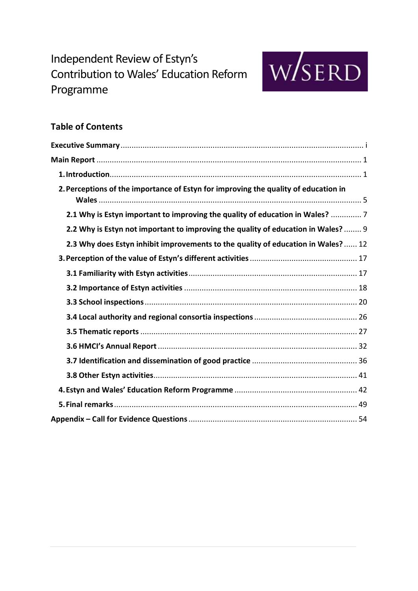

## **Table of Contents**

| 2. Perceptions of the importance of Estyn for improving the quality of education in |
|-------------------------------------------------------------------------------------|
| 2.1 Why is Estyn important to improving the quality of education in Wales?  7       |
| 2.2 Why is Estyn not important to improving the quality of education in Wales?  9   |
| 2.3 Why does Estyn inhibit improvements to the quality of education in Wales?  12   |
|                                                                                     |
|                                                                                     |
|                                                                                     |
|                                                                                     |
|                                                                                     |
|                                                                                     |
|                                                                                     |
|                                                                                     |
|                                                                                     |
|                                                                                     |
|                                                                                     |
|                                                                                     |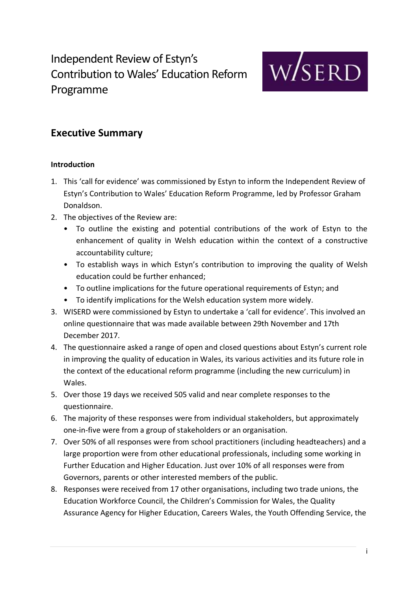

## **Executive Summary**

## **Introduction**

- 1. This 'call for evidence' was commissioned by Estyn to inform the Independent Review of Estyn's Contribution to Wales' Education Reform Programme, led by Professor Graham Donaldson.
- 2. The objectives of the Review are:
	- To outline the existing and potential contributions of the work of Estyn to the enhancement of quality in Welsh education within the context of a constructive accountability culture;
	- To establish ways in which Estyn's contribution to improving the quality of Welsh education could be further enhanced;
	- To outline implications for the future operational requirements of Estyn; and
	- To identify implications for the Welsh education system more widely.
- 3. WISERD were commissioned by Estyn to undertake a 'call for evidence'. This involved an online questionnaire that was made available between 29th November and 17th December 2017.
- 4. The questionnaire asked a range of open and closed questions about Estyn's current role in improving the quality of education in Wales, its various activities and its future role in the context of the educational reform programme (including the new curriculum) in Wales.
- 5. Over those 19 days we received 505 valid and near complete responses to the questionnaire.
- 6. The majority of these responses were from individual stakeholders, but approximately one-in-five were from a group of stakeholders or an organisation.
- 7. Over 50% of all responses were from school practitioners (including headteachers) and a large proportion were from other educational professionals, including some working in Further Education and Higher Education. Just over 10% of all responses were from Governors, parents or other interested members of the public.
- 8. Responses were received from 17 other organisations, including two trade unions, the Education Workforce Council, the Children's Commission for Wales, the Quality Assurance Agency for Higher Education, Careers Wales, the Youth Offending Service, the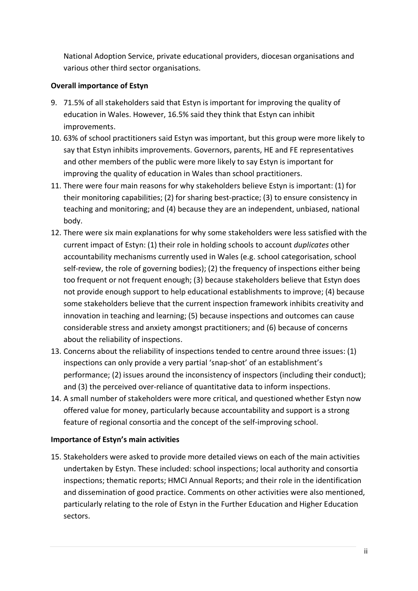National Adoption Service, private educational providers, diocesan organisations and various other third sector organisations.

## **Overall importance of Estyn**

- 9. 71.5% of all stakeholders said that Estyn is important for improving the quality of education in Wales. However, 16.5% said they think that Estyn can inhibit improvements.
- 10. 63% of school practitioners said Estyn was important, but this group were more likely to say that Estyn inhibits improvements. Governors, parents, HE and FE representatives and other members of the public were more likely to say Estyn is important for improving the quality of education in Wales than school practitioners.
- 11. There were four main reasons for why stakeholders believe Estyn is important: (1) for their monitoring capabilities; (2) for sharing best-practice; (3) to ensure consistency in teaching and monitoring; and (4) because they are an independent, unbiased, national body.
- 12. There were six main explanations for why some stakeholders were less satisfied with the current impact of Estyn: (1) their role in holding schools to account *duplicates* other accountability mechanisms currently used in Wales (e.g. school categorisation, school self-review, the role of governing bodies); (2) the frequency of inspections either being too frequent or not frequent enough; (3) because stakeholders believe that Estyn does not provide enough support to help educational establishments to improve; (4) because some stakeholders believe that the current inspection framework inhibits creativity and innovation in teaching and learning; (5) because inspections and outcomes can cause considerable stress and anxiety amongst practitioners; and (6) because of concerns about the reliability of inspections.
- 13. Concerns about the reliability of inspections tended to centre around three issues: (1) inspections can only provide a very partial 'snap-shot' of an establishment's performance; (2) issues around the inconsistency of inspectors (including their conduct); and (3) the perceived over-reliance of quantitative data to inform inspections.
- 14. A small number of stakeholders were more critical, and questioned whether Estyn now offered value for money, particularly because accountability and support is a strong feature of regional consortia and the concept of the self-improving school.

## **Importance of Estyn's main activities**

15. Stakeholders were asked to provide more detailed views on each of the main activities undertaken by Estyn. These included: school inspections; local authority and consortia inspections; thematic reports; HMCI Annual Reports; and their role in the identification and dissemination of good practice. Comments on other activities were also mentioned, particularly relating to the role of Estyn in the Further Education and Higher Education sectors.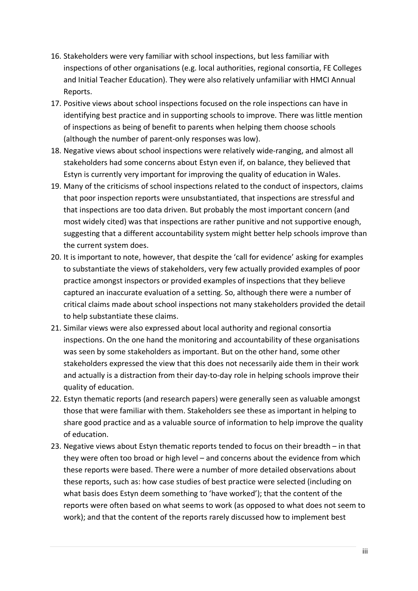- 16. Stakeholders were very familiar with school inspections, but less familiar with inspections of other organisations (e.g. local authorities, regional consortia, FE Colleges and Initial Teacher Education). They were also relatively unfamiliar with HMCI Annual Reports.
- 17. Positive views about school inspections focused on the role inspections can have in identifying best practice and in supporting schools to improve. There was little mention of inspections as being of benefit to parents when helping them choose schools (although the number of parent-only responses was low).
- 18. Negative views about school inspections were relatively wide-ranging, and almost all stakeholders had some concerns about Estyn even if, on balance, they believed that Estyn is currently very important for improving the quality of education in Wales.
- 19. Many of the criticisms of school inspections related to the conduct of inspectors, claims that poor inspection reports were unsubstantiated, that inspections are stressful and that inspections are too data driven. But probably the most important concern (and most widely cited) was that inspections are rather punitive and not supportive enough, suggesting that a different accountability system might better help schools improve than the current system does.
- 20. It is important to note, however, that despite the 'call for evidence' asking for examples to substantiate the views of stakeholders, very few actually provided examples of poor practice amongst inspectors or provided examples of inspections that they believe captured an inaccurate evaluation of a setting. So, although there were a number of critical claims made about school inspections not many stakeholders provided the detail to help substantiate these claims.
- 21. Similar views were also expressed about local authority and regional consortia inspections. On the one hand the monitoring and accountability of these organisations was seen by some stakeholders as important. But on the other hand, some other stakeholders expressed the view that this does not necessarily aide them in their work and actually is a distraction from their day-to-day role in helping schools improve their quality of education.
- 22. Estyn thematic reports (and research papers) were generally seen as valuable amongst those that were familiar with them. Stakeholders see these as important in helping to share good practice and as a valuable source of information to help improve the quality of education.
- 23. Negative views about Estyn thematic reports tended to focus on their breadth in that they were often too broad or high level – and concerns about the evidence from which these reports were based. There were a number of more detailed observations about these reports, such as: how case studies of best practice were selected (including on what basis does Estyn deem something to 'have worked'); that the content of the reports were often based on what seems to work (as opposed to what does not seem to work); and that the content of the reports rarely discussed how to implement best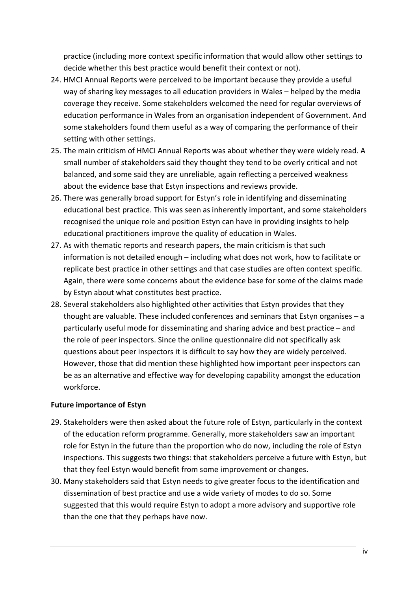practice (including more context specific information that would allow other settings to decide whether this best practice would benefit their context or not).

- 24. HMCI Annual Reports were perceived to be important because they provide a useful way of sharing key messages to all education providers in Wales – helped by the media coverage they receive. Some stakeholders welcomed the need for regular overviews of education performance in Wales from an organisation independent of Government. And some stakeholders found them useful as a way of comparing the performance of their setting with other settings.
- 25. The main criticism of HMCI Annual Reports was about whether they were widely read. A small number of stakeholders said they thought they tend to be overly critical and not balanced, and some said they are unreliable, again reflecting a perceived weakness about the evidence base that Estyn inspections and reviews provide.
- 26. There was generally broad support for Estyn's role in identifying and disseminating educational best practice. This was seen as inherently important, and some stakeholders recognised the unique role and position Estyn can have in providing insights to help educational practitioners improve the quality of education in Wales.
- 27. As with thematic reports and research papers, the main criticism is that such information is not detailed enough – including what does not work, how to facilitate or replicate best practice in other settings and that case studies are often context specific. Again, there were some concerns about the evidence base for some of the claims made by Estyn about what constitutes best practice.
- 28. Several stakeholders also highlighted other activities that Estyn provides that they thought are valuable. These included conferences and seminars that Estyn organises – a particularly useful mode for disseminating and sharing advice and best practice – and the role of peer inspectors. Since the online questionnaire did not specifically ask questions about peer inspectors it is difficult to say how they are widely perceived. However, those that did mention these highlighted how important peer inspectors can be as an alternative and effective way for developing capability amongst the education workforce.

### **Future importance of Estyn**

- 29. Stakeholders were then asked about the future role of Estyn, particularly in the context of the education reform programme. Generally, more stakeholders saw an important role for Estyn in the future than the proportion who do now, including the role of Estyn inspections. This suggests two things: that stakeholders perceive a future with Estyn, but that they feel Estyn would benefit from some improvement or changes.
- 30. Many stakeholders said that Estyn needs to give greater focus to the identification and dissemination of best practice and use a wide variety of modes to do so. Some suggested that this would require Estyn to adopt a more advisory and supportive role than the one that they perhaps have now.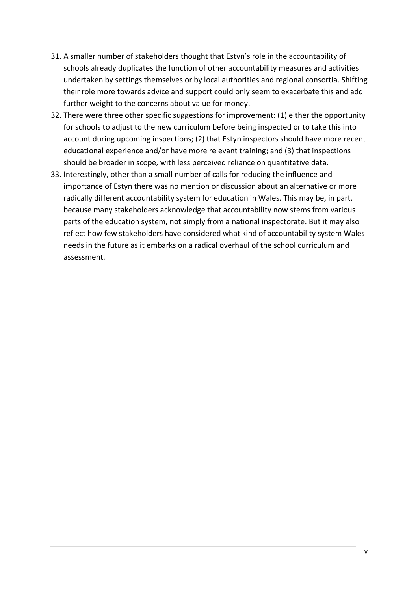- 31. A smaller number of stakeholders thought that Estyn's role in the accountability of schools already duplicates the function of other accountability measures and activities undertaken by settings themselves or by local authorities and regional consortia. Shifting their role more towards advice and support could only seem to exacerbate this and add further weight to the concerns about value for money.
- 32. There were three other specific suggestions for improvement: (1) either the opportunity for schools to adjust to the new curriculum before being inspected or to take this into account during upcoming inspections; (2) that Estyn inspectors should have more recent educational experience and/or have more relevant training; and (3) that inspections should be broader in scope, with less perceived reliance on quantitative data.
- 33. Interestingly, other than a small number of calls for reducing the influence and importance of Estyn there was no mention or discussion about an alternative or more radically different accountability system for education in Wales. This may be, in part, because many stakeholders acknowledge that accountability now stems from various parts of the education system, not simply from a national inspectorate. But it may also reflect how few stakeholders have considered what kind of accountability system Wales needs in the future as it embarks on a radical overhaul of the school curriculum and assessment.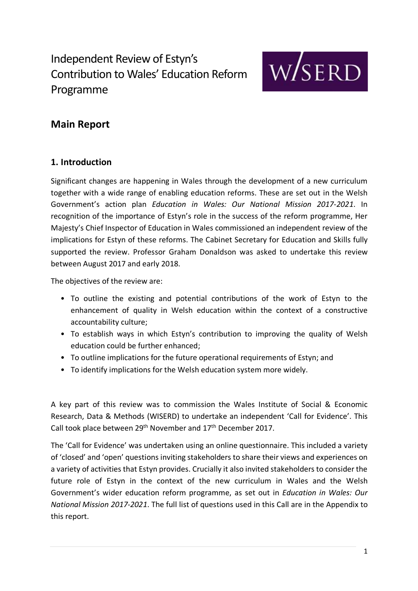

## **Main Report**

## **1. Introduction**

Significant changes are happening in Wales through the development of a new curriculum together with a wide range of enabling education reforms. These are set out in the Welsh Government's action plan *Education in Wales: Our National Mission 2017-2021*. In recognition of the importance of Estyn's role in the success of the reform programme, Her Majesty's Chief Inspector of Education in Wales commissioned an independent review of the implications for Estyn of these reforms. The Cabinet Secretary for Education and Skills fully supported the review. Professor Graham Donaldson was asked to undertake this review between August 2017 and early 2018.

The objectives of the review are:

- To outline the existing and potential contributions of the work of Estyn to the enhancement of quality in Welsh education within the context of a constructive accountability culture;
- To establish ways in which Estyn's contribution to improving the quality of Welsh education could be further enhanced;
- To outline implications for the future operational requirements of Estyn; and
- To identify implications for the Welsh education system more widely.

A key part of this review was to commission the Wales Institute of Social & Economic Research, Data & Methods (WISERD) to undertake an independent 'Call for Evidence'. This Call took place between 29<sup>th</sup> November and 17<sup>th</sup> December 2017.

The 'Call for Evidence' was undertaken using an online questionnaire. This included a variety of 'closed' and 'open' questions inviting stakeholders to share their views and experiences on a variety of activities that Estyn provides. Crucially it also invited stakeholders to consider the future role of Estyn in the context of the new curriculum in Wales and the Welsh Government's wider education reform programme, as set out in *Education in Wales: Our National Mission 2017-2021*. The full list of questions used in this Call are in the Appendix to this report.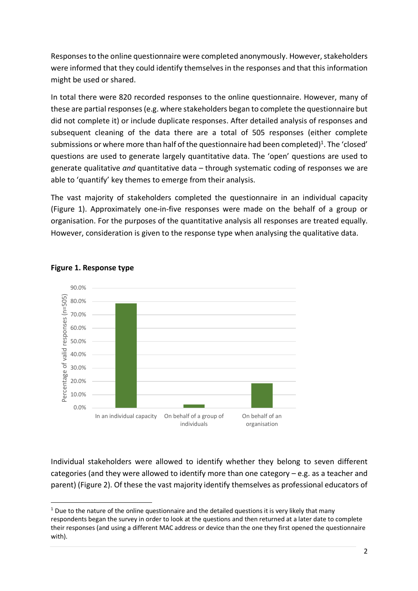Responses to the online questionnaire were completed anonymously. However, stakeholders were informed that they could identify themselves in the responses and that this information might be used or shared.

In total there were 820 recorded responses to the online questionnaire. However, many of these are partial responses (e.g. where stakeholders began to complete the questionnaire but did not complete it) or include duplicate responses. After detailed analysis of responses and subsequent cleaning of the data there are a total of 505 responses (either complete submissions or where more than half of the questionnaire had been completed)<sup>1</sup>. The 'closed' questions are used to generate largely quantitative data. The 'open' questions are used to generate qualitative *and* quantitative data – through systematic coding of responses we are able to 'quantify' key themes to emerge from their analysis.

The vast majority of stakeholders completed the questionnaire in an individual capacity (Figure 1). Approximately one-in-five responses were made on the behalf of a group or organisation. For the purposes of the quantitative analysis all responses are treated equally. However, consideration is given to the response type when analysing the qualitative data.



#### **Figure 1. Response type**

Individual stakeholders were allowed to identify whether they belong to seven different categories (and they were allowed to identify more than one category – e.g. as a teacher and parent) (Figure 2). Of these the vast majority identify themselves as professional educators of

 $<sup>1</sup>$  Due to the nature of the online questionnaire and the detailed questions it is very likely that many</sup> respondents began the survey in order to look at the questions and then returned at a later date to complete their responses (and using a different MAC address or device than the one they first opened the questionnaire with).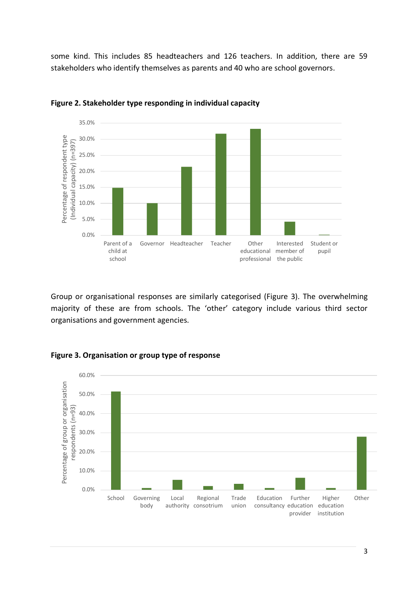some kind. This includes 85 headteachers and 126 teachers. In addition, there are 59 stakeholders who identify themselves as parents and 40 who are school governors.



**Figure 2. Stakeholder type responding in individual capacity**

Group or organisational responses are similarly categorised (Figure 3). The overwhelming majority of these are from schools. The 'other' category include various third sector organisations and government agencies.



#### **Figure 3. Organisation or group type of response**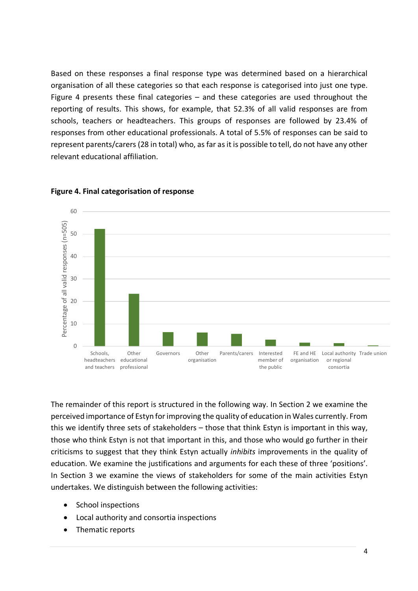Based on these responses a final response type was determined based on a hierarchical organisation of all these categories so that each response is categorised into just one type. Figure 4 presents these final categories – and these categories are used throughout the reporting of results. This shows, for example, that 52.3% of all valid responses are from schools, teachers or headteachers. This groups of responses are followed by 23.4% of responses from other educational professionals. A total of 5.5% of responses can be said to represent parents/carers (28 in total) who, as far as it is possible to tell, do not have any other relevant educational affiliation.



#### **Figure 4. Final categorisation of response**

The remainder of this report is structured in the following way. In Section 2 we examine the perceived importance of Estyn for improving the quality of education in Wales currently. From this we identify three sets of stakeholders – those that think Estyn is important in this way, those who think Estyn is not that important in this, and those who would go further in their criticisms to suggest that they think Estyn actually *inhibits* improvements in the quality of education. We examine the justifications and arguments for each these of three 'positions'. In Section 3 we examine the views of stakeholders for some of the main activities Estyn undertakes. We distinguish between the following activities:

- School inspections
- Local authority and consortia inspections
- Thematic reports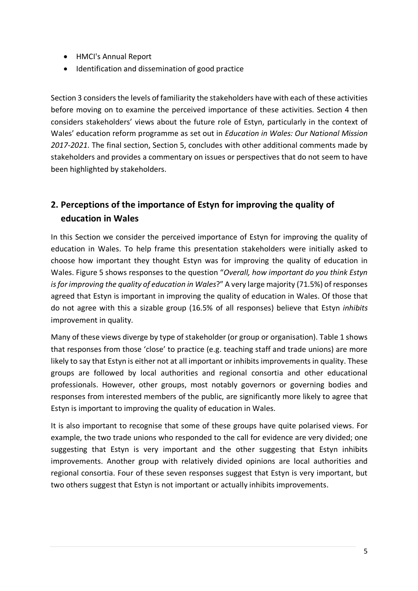- HMCI's Annual Report
- Identification and dissemination of good practice

Section 3 considers the levels of familiarity the stakeholders have with each of these activities before moving on to examine the perceived importance of these activities. Section 4 then considers stakeholders' views about the future role of Estyn, particularly in the context of Wales' education reform programme as set out in *Education in Wales: Our National Mission 2017-2021*. The final section, Section 5, concludes with other additional comments made by stakeholders and provides a commentary on issues or perspectives that do not seem to have been highlighted by stakeholders.

## **2. Perceptions of the importance of Estyn for improving the quality of education in Wales**

In this Section we consider the perceived importance of Estyn for improving the quality of education in Wales. To help frame this presentation stakeholders were initially asked to choose how important they thought Estyn was for improving the quality of education in Wales. Figure 5 shows responses to the question "*Overall, how important do you think Estyn is for improving the quality of education in Wales*?" A very large majority (71.5%) of responses agreed that Estyn is important in improving the quality of education in Wales. Of those that do not agree with this a sizable group (16.5% of all responses) believe that Estyn *inhibits* improvement in quality.

Many of these views diverge by type of stakeholder (or group or organisation). Table 1 shows that responses from those 'close' to practice (e.g. teaching staff and trade unions) are more likely to say that Estyn is either not at all important or inhibits improvements in quality. These groups are followed by local authorities and regional consortia and other educational professionals. However, other groups, most notably governors or governing bodies and responses from interested members of the public, are significantly more likely to agree that Estyn is important to improving the quality of education in Wales.

It is also important to recognise that some of these groups have quite polarised views. For example, the two trade unions who responded to the call for evidence are very divided; one suggesting that Estyn is very important and the other suggesting that Estyn inhibits improvements. Another group with relatively divided opinions are local authorities and regional consortia. Four of these seven responses suggest that Estyn is very important, but two others suggest that Estyn is not important or actually inhibits improvements.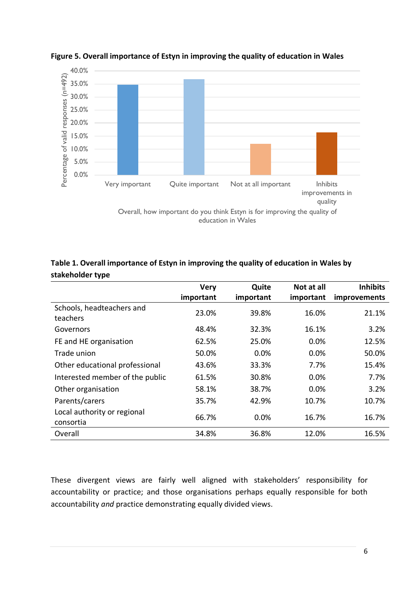

#### **Figure 5. Overall importance of Estyn in improving the quality of education in Wales**

## **Table 1. Overall importance of Estyn in improving the quality of education in Wales by stakeholder type**

|                                          | <b>Very</b> | Quite     | Not at all | <b>Inhibits</b> |
|------------------------------------------|-------------|-----------|------------|-----------------|
|                                          | important   | important | important  | improvements    |
| Schools, headteachers and<br>teachers    | 23.0%       | 39.8%     | 16.0%      | 21.1%           |
| Governors                                | 48.4%       | 32.3%     | 16.1%      | 3.2%            |
| FE and HE organisation                   | 62.5%       | 25.0%     | 0.0%       | 12.5%           |
| Trade union                              | 50.0%       | 0.0%      | 0.0%       | 50.0%           |
| Other educational professional           | 43.6%       | 33.3%     | 7.7%       | 15.4%           |
| Interested member of the public          | 61.5%       | 30.8%     | 0.0%       | 7.7%            |
| Other organisation                       | 58.1%       | 38.7%     | 0.0%       | 3.2%            |
| Parents/carers                           | 35.7%       | 42.9%     | 10.7%      | 10.7%           |
| Local authority or regional<br>consortia | 66.7%       | 0.0%      | 16.7%      | 16.7%           |
| Overall                                  | 34.8%       | 36.8%     | 12.0%      | 16.5%           |

These divergent views are fairly well aligned with stakeholders' responsibility for accountability or practice; and those organisations perhaps equally responsible for both accountability *and* practice demonstrating equally divided views.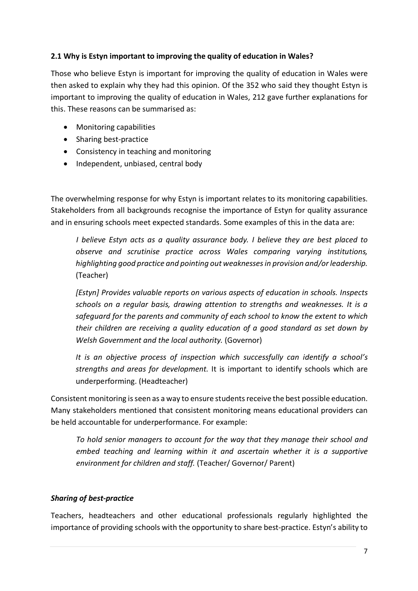## **2.1 Why is Estyn important to improving the quality of education in Wales?**

Those who believe Estyn is important for improving the quality of education in Wales were then asked to explain why they had this opinion. Of the 352 who said they thought Estyn is important to improving the quality of education in Wales, 212 gave further explanations for this. These reasons can be summarised as:

- Monitoring capabilities
- Sharing best-practice
- Consistency in teaching and monitoring
- Independent, unbiased, central body

The overwhelming response for why Estyn is important relates to its monitoring capabilities. Stakeholders from all backgrounds recognise the importance of Estyn for quality assurance and in ensuring schools meet expected standards. Some examples of this in the data are:

*I believe Estyn acts as a quality assurance body. I believe they are best placed to observe and scrutinise practice across Wales comparing varying institutions, highlighting good practice and pointing out weaknesses in provision and/or leadership.*  (Teacher)

*[Estyn] Provides valuable reports on various aspects of education in schools. Inspects schools on a regular basis, drawing attention to strengths and weaknesses. It is a safeguard for the parents and community of each school to know the extent to which their children are receiving a quality education of a good standard as set down by Welsh Government and the local authority.* (Governor)

*It is an objective process of inspection which successfully can identify a school's strengths and areas for development.* It is important to identify schools which are underperforming. (Headteacher)

Consistent monitoring is seen as a way to ensure students receive the best possible education. Many stakeholders mentioned that consistent monitoring means educational providers can be held accountable for underperformance. For example:

*To hold senior managers to account for the way that they manage their school and embed teaching and learning within it and ascertain whether it is a supportive environment for children and staff.* (Teacher/ Governor/ Parent)

## *Sharing of best-practice*

Teachers, headteachers and other educational professionals regularly highlighted the importance of providing schools with the opportunity to share best-practice. Estyn's ability to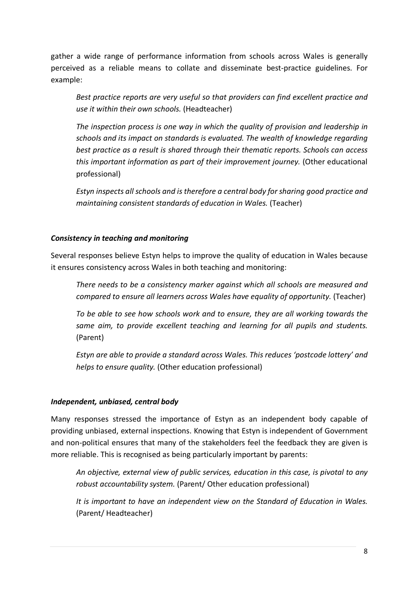gather a wide range of performance information from schools across Wales is generally perceived as a reliable means to collate and disseminate best-practice guidelines. For example:

*Best practice reports are very useful so that providers can find excellent practice and use it within their own schools.* (Headteacher)

*The inspection process is one way in which the quality of provision and leadership in schools and its impact on standards is evaluated. The wealth of knowledge regarding best practice as a result is shared through their thematic reports. Schools can access this important information as part of their improvement journey.* (Other educational professional)

*Estyn inspects all schools and is therefore a central body for sharing good practice and maintaining consistent standards of education in Wales.* (Teacher)

### *Consistency in teaching and monitoring*

Several responses believe Estyn helps to improve the quality of education in Wales because it ensures consistency across Wales in both teaching and monitoring:

*There needs to be a consistency marker against which all schools are measured and compared to ensure all learners across Wales have equality of opportunity.* (Teacher)

*To be able to see how schools work and to ensure, they are all working towards the same aim, to provide excellent teaching and learning for all pupils and students.* (Parent)

*Estyn are able to provide a standard across Wales. This reduces 'postcode lottery' and helps to ensure quality.* (Other education professional)

### *Independent, unbiased, central body*

Many responses stressed the importance of Estyn as an independent body capable of providing unbiased, external inspections. Knowing that Estyn is independent of Government and non-political ensures that many of the stakeholders feel the feedback they are given is more reliable. This is recognised as being particularly important by parents:

*An objective, external view of public services, education in this case, is pivotal to any robust accountability system.* (Parent/ Other education professional)

*It is important to have an independent view on the Standard of Education in Wales.* (Parent/ Headteacher)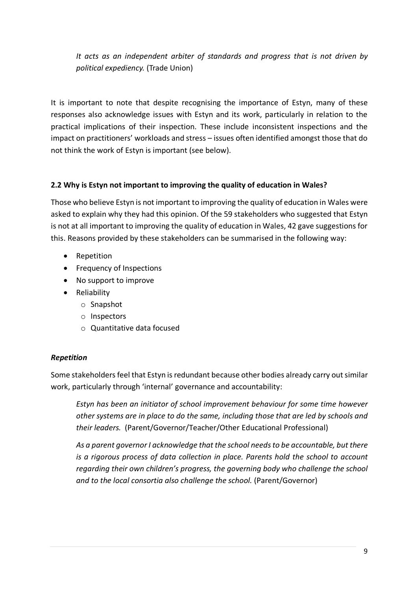*It acts as an independent arbiter of standards and progress that is not driven by political expediency.* (Trade Union)

It is important to note that despite recognising the importance of Estyn, many of these responses also acknowledge issues with Estyn and its work, particularly in relation to the practical implications of their inspection. These include inconsistent inspections and the impact on practitioners' workloads and stress – issues often identified amongst those that do not think the work of Estyn is important (see below).

## **2.2 Why is Estyn not important to improving the quality of education in Wales?**

Those who believe Estyn is not important to improving the quality of education in Wales were asked to explain why they had this opinion. Of the 59 stakeholders who suggested that Estyn is not at all important to improving the quality of education in Wales, 42 gave suggestions for this. Reasons provided by these stakeholders can be summarised in the following way:

- Repetition
- Frequency of Inspections
- No support to improve
- Reliability
	- o Snapshot
	- o Inspectors
	- o Quantitative data focused

## *Repetition*

Some stakeholders feel that Estyn is redundant because other bodies already carry out similar work, particularly through 'internal' governance and accountability:

*Estyn has been an initiator of school improvement behaviour for some time however other systems are in place to do the same, including those that are led by schools and their leaders.* (Parent/Governor/Teacher/Other Educational Professional)

*As a parent governor I acknowledge that the school needs to be accountable, but there is a rigorous process of data collection in place. Parents hold the school to account regarding their own children's progress, the governing body who challenge the school*  and to the local consortia also challenge the school. (Parent/Governor)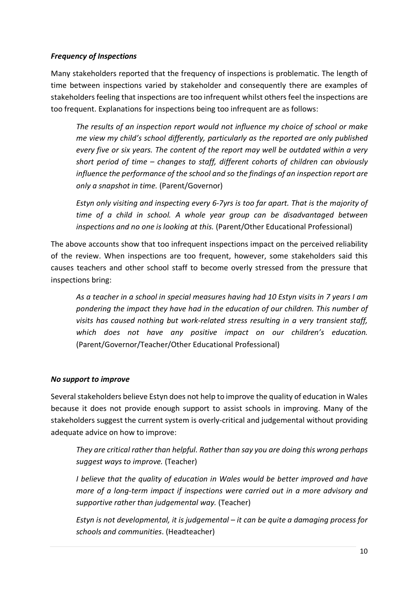## *Frequency of Inspections*

Many stakeholders reported that the frequency of inspections is problematic. The length of time between inspections varied by stakeholder and consequently there are examples of stakeholders feeling that inspections are too infrequent whilst others feel the inspections are too frequent. Explanations for inspections being too infrequent are as follows:

*The results of an inspection report would not influence my choice of school or make me view my child's school differently, particularly as the reported are only published every five or six years. The content of the report may well be outdated within a very short period of time – changes to staff, different cohorts of children can obviously influence the performance of the school and so the findings of an inspection report are only a snapshot in time.* (Parent/Governor)

*Estyn only visiting and inspecting every 6-7yrs is too far apart. That is the majority of time of a child in school. A whole year group can be disadvantaged between inspections and no one is looking at this.* (Parent/Other Educational Professional)

The above accounts show that too infrequent inspections impact on the perceived reliability of the review. When inspections are too frequent, however, some stakeholders said this causes teachers and other school staff to become overly stressed from the pressure that inspections bring:

*As a teacher in a school in special measures having had 10 Estyn visits in 7 years I am pondering the impact they have had in the education of our children. This number of visits has caused nothing but work-related stress resulting in a very transient staff, which does not have any positive impact on our children's education.*  (Parent/Governor/Teacher/Other Educational Professional)

### *No support to improve*

Several stakeholders believe Estyn does not help to improve the quality of education in Wales because it does not provide enough support to assist schools in improving. Many of the stakeholders suggest the current system is overly-critical and judgemental without providing adequate advice on how to improve:

*They are critical rather than helpful. Rather than say you are doing this wrong perhaps suggest ways to improve.* (Teacher)

*I believe that the quality of education in Wales would be better improved and have more of a long-term impact if inspections were carried out in a more advisory and supportive rather than judgemental way.* (Teacher)

*Estyn is not developmental, it is judgemental – it can be quite a damaging process for schools and communities*. (Headteacher)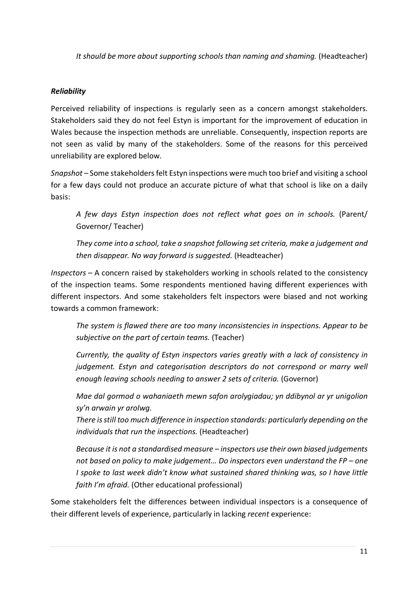*It should be more about supporting schools than naming and shaming.* (Headteacher)

## *Reliability*

Perceived reliability of inspections is regularly seen as a concern amongst stakeholders. Stakeholders said they do not feel Estyn is important for the improvement of education in Wales because the inspection methods are unreliable. Consequently, inspection reports are not seen as valid by many of the stakeholders. Some of the reasons for this perceived unreliability are explored below.

*Snapshot –* Some stakeholders felt Estyn inspections were much too brief and visiting a school for a few days could not produce an accurate picture of what that school is like on a daily basis:

*A few days Estyn inspection does not reflect what goes on in schools.* (Parent/ Governor/ Teacher)

*They come into a school, take a snapshot following set criteria, make a judgement and then disappear. No way forward is suggested.* (Headteacher)

*Inspectors –* A concern raised by stakeholders working in schools related to the consistency of the inspection teams. Some respondents mentioned having different experiences with different inspectors. And some stakeholders felt inspectors were biased and not working towards a common framework:

*The system is flawed there are too many inconsistencies in inspections. Appear to be subjective on the part of certain teams.* (Teacher)

*Currently, the quality of Estyn inspectors varies greatly with a lack of consistency in judgement. Estyn and categorisation descriptors do not correspond or marry well enough leaving schools needing to answer 2 sets of criteria.* (Governor)

*Mae dal gormod o wahaniaeth mewn safon arolygiadau; yn ddibynol ar yr unigolion sy'n arwain yr arolwg.*

*There is still too much difference in inspection standards: particularly depending on the individuals that run the inspections.* (Headteacher)

*Because it is not a standardised measure – inspectors use their own biased judgements not based on policy to make judgement… Do inspectors even understand the FP – one I spoke to last week didn't know what sustained shared thinking was, so I have little faith I'm afraid.* (Other educational professional)

Some stakeholders felt the differences between individual inspectors is a consequence of their different levels of experience, particularly in lacking *recent* experience: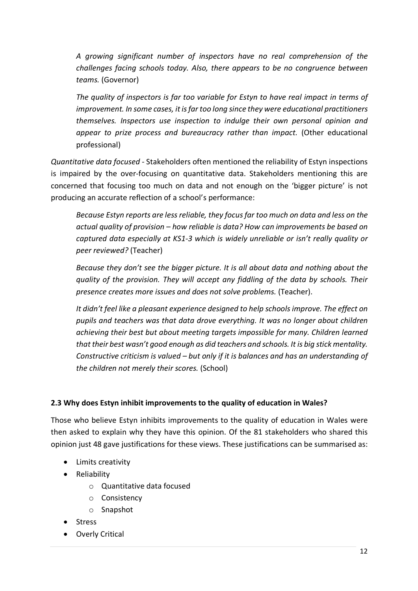*A growing significant number of inspectors have no real comprehension of the challenges facing schools today. Also, there appears to be no congruence between teams.* (Governor)

*The quality of inspectors is far too variable for Estyn to have real impact in terms of improvement. In some cases, it is far too long since they were educational practitioners themselves. Inspectors use inspection to indulge their own personal opinion and appear to prize process and bureaucracy rather than impact.* (Other educational professional)

*Quantitative data focused -* Stakeholders often mentioned the reliability of Estyn inspections is impaired by the over-focusing on quantitative data. Stakeholders mentioning this are concerned that focusing too much on data and not enough on the 'bigger picture' is not producing an accurate reflection of a school's performance:

*Because Estyn reports are less reliable, they focus far too much on data and less on the actual quality of provision – how reliable is data? How can improvements be based on captured data especially at KS1-3 which is widely unreliable or isn't really quality or peer reviewed?* (Teacher)

*Because they don't see the bigger picture. It is all about data and nothing about the quality of the provision. They will accept any fiddling of the data by schools. Their presence creates more issues and does not solve problems.* (Teacher).

*It didn't feel like a pleasant experience designed to help schools improve. The effect on pupils and teachers was that data drove everything. It was no longer about children achieving their best but about meeting targets impossible for many. Children learned that their best wasn't good enough as did teachers and schools. It is big stick mentality. Constructive criticism is valued – but only if it is balances and has an understanding of the children not merely their scores.* (School)

## **2.3 Why does Estyn inhibit improvements to the quality of education in Wales?**

Those who believe Estyn inhibits improvements to the quality of education in Wales were then asked to explain why they have this opinion. Of the 81 stakeholders who shared this opinion just 48 gave justifications for these views. These justifications can be summarised as:

- Limits creativity
- Reliability
	- o Quantitative data focused
	- o Consistency
	- o Snapshot
- Stress
- Overly Critical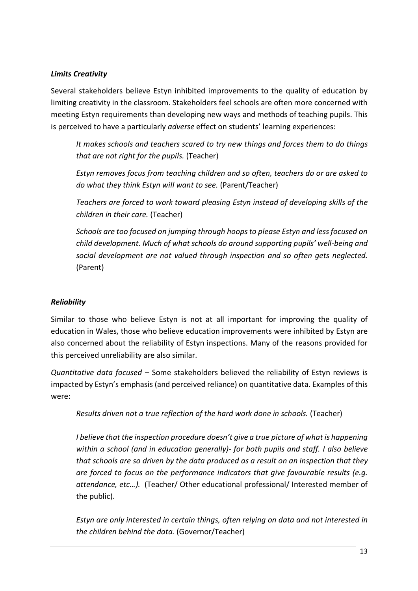## *Limits Creativity*

Several stakeholders believe Estyn inhibited improvements to the quality of education by limiting creativity in the classroom. Stakeholders feel schools are often more concerned with meeting Estyn requirements than developing new ways and methods of teaching pupils. This is perceived to have a particularly *adverse* effect on students' learning experiences:

*It makes schools and teachers scared to try new things and forces them to do things that are not right for the pupils.* (Teacher)

*Estyn removes focus from teaching children and so often, teachers do or are asked to do what they think Estyn will want to see.* (Parent/Teacher)

*Teachers are forced to work toward pleasing Estyn instead of developing skills of the children in their care.* (Teacher)

*Schools are too focused on jumping through hoops to please Estyn and less focused on child development. Much of what schools do around supporting pupils' well-being and social development are not valued through inspection and so often gets neglected.* (Parent)

## *Reliability*

Similar to those who believe Estyn is not at all important for improving the quality of education in Wales, those who believe education improvements were inhibited by Estyn are also concerned about the reliability of Estyn inspections. Many of the reasons provided for this perceived unreliability are also similar.

*Quantitative data focused –* Some stakeholders believed the reliability of Estyn reviews is impacted by Estyn's emphasis (and perceived reliance) on quantitative data. Examples of this were:

*Results driven not a true reflection of the hard work done in schools.* (Teacher)

*I believe that the inspection procedure doesn't give a true picture of what is happening within a school (and in education generally)- for both pupils and staff. I also believe that schools are so driven by the data produced as a result on an inspection that they are forced to focus on the performance indicators that give favourable results (e.g. attendance, etc…).* (Teacher/ Other educational professional/ Interested member of the public).

*Estyn are only interested in certain things, often relying on data and not interested in the children behind the data.* (Governor/Teacher)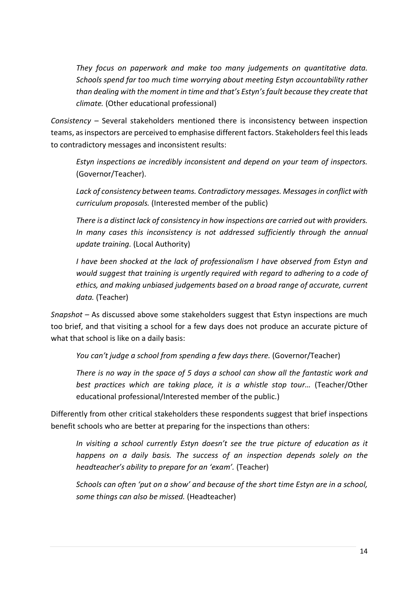*They focus on paperwork and make too many judgements on quantitative data. Schools spend far too much time worrying about meeting Estyn accountability rather than dealing with the moment in time and that's Estyn's fault because they create that climate.* (Other educational professional)

*Consistency –* Several stakeholders mentioned there is inconsistency between inspection teams, as inspectors are perceived to emphasise different factors. Stakeholders feel this leads to contradictory messages and inconsistent results:

*Estyn inspections ae incredibly inconsistent and depend on your team of inspectors.*  (Governor/Teacher).

*Lack of consistency between teams. Contradictory messages. Messages in conflict with curriculum proposals.* (Interested member of the public)

*There is a distinct lack of consistency in how inspections are carried out with providers. In many cases this inconsistency is not addressed sufficiently through the annual update training.* (Local Authority)

*I have been shocked at the lack of professionalism I have observed from Estyn and would suggest that training is urgently required with regard to adhering to a code of ethics, and making unbiased judgements based on a broad range of accurate, current data.* (Teacher)

*Snapshot –* As discussed above some stakeholders suggest that Estyn inspections are much too brief, and that visiting a school for a few days does not produce an accurate picture of what that school is like on a daily basis:

*You can't judge a school from spending a few days there.* (Governor/Teacher)

*There is no way in the space of 5 days a school can show all the fantastic work and best practices which are taking place, it is a whistle stop tour…* (Teacher/Other educational professional/Interested member of the public.)

Differently from other critical stakeholders these respondents suggest that brief inspections benefit schools who are better at preparing for the inspections than others:

*In visiting a school currently Estyn doesn't see the true picture of education as it happens on a daily basis. The success of an inspection depends solely on the headteacher's ability to prepare for an 'exam'.* (Teacher)

*Schools can often 'put on a show' and because of the short time Estyn are in a school, some things can also be missed.* (Headteacher)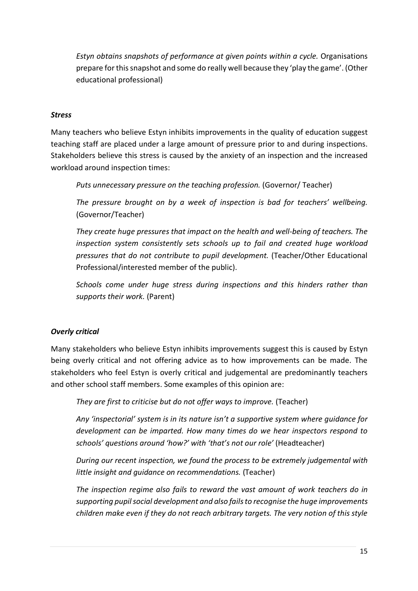*Estyn obtains snapshots of performance at given points within a cycle.* Organisations prepare for this snapshot and some do really well because they 'play the game'. (Other educational professional)

## *Stress*

Many teachers who believe Estyn inhibits improvements in the quality of education suggest teaching staff are placed under a large amount of pressure prior to and during inspections. Stakeholders believe this stress is caused by the anxiety of an inspection and the increased workload around inspection times:

*Puts unnecessary pressure on the teaching profession.* (Governor/ Teacher)

*The pressure brought on by a week of inspection is bad for teachers' wellbeing.*  (Governor/Teacher)

*They create huge pressures that impact on the health and well-being of teachers. The inspection system consistently sets schools up to fail and created huge workload pressures that do not contribute to pupil development.* (Teacher/Other Educational Professional/interested member of the public).

*Schools come under huge stress during inspections and this hinders rather than supports their work.* (Parent)

## *Overly critical*

Many stakeholders who believe Estyn inhibits improvements suggest this is caused by Estyn being overly critical and not offering advice as to how improvements can be made. The stakeholders who feel Estyn is overly critical and judgemental are predominantly teachers and other school staff members. Some examples of this opinion are:

*They are first to criticise but do not offer ways to improve.* (Teacher)

*Any 'inspectorial' system is in its nature isn't a supportive system where guidance for development can be imparted. How many times do we hear inspectors respond to schools' questions around 'how?' with 'that's not our role'* (Headteacher)

*During our recent inspection, we found the process to be extremely judgemental with little insight and guidance on recommendations.* (Teacher)

*The inspection regime also fails to reward the vast amount of work teachers do in supporting pupil social development and also fails to recognise the huge improvements children make even if they do not reach arbitrary targets. The very notion of this style*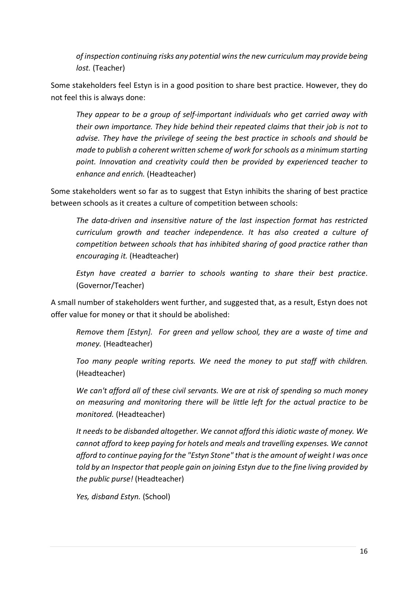*of inspection continuing risks any potential wins the new curriculum may provide being lost.* (Teacher)

Some stakeholders feel Estyn is in a good position to share best practice. However, they do not feel this is always done:

*They appear to be a group of self-important individuals who get carried away with their own importance. They hide behind their repeated claims that their job is not to advise. They have the privilege of seeing the best practice in schools and should be made to publish a coherent written scheme of work for schools as a minimum starting point. Innovation and creativity could then be provided by experienced teacher to enhance and enrich.* (Headteacher)

Some stakeholders went so far as to suggest that Estyn inhibits the sharing of best practice between schools as it creates a culture of competition between schools:

*The data-driven and insensitive nature of the last inspection format has restricted curriculum growth and teacher independence. It has also created a culture of competition between schools that has inhibited sharing of good practice rather than encouraging it.* (Headteacher)

*Estyn have created a barrier to schools wanting to share their best practice*. (Governor/Teacher)

A small number of stakeholders went further, and suggested that, as a result, Estyn does not offer value for money or that it should be abolished:

*Remove them [Estyn]. For green and yellow school, they are a waste of time and money.* (Headteacher)

*Too many people writing reports. We need the money to put staff with children.*  (Headteacher)

*We can't afford all of these civil servants. We are at risk of spending so much money on measuring and monitoring there will be little left for the actual practice to be monitored.* (Headteacher)

*It needs to be disbanded altogether. We cannot afford this idiotic waste of money. We cannot afford to keep paying for hotels and meals and travelling expenses. We cannot afford to continue paying for the "Estyn Stone" that is the amount of weight I was once told by an Inspector that people gain on joining Estyn due to the fine living provided by the public purse!* (Headteacher)

*Yes, disband Estyn.* (School)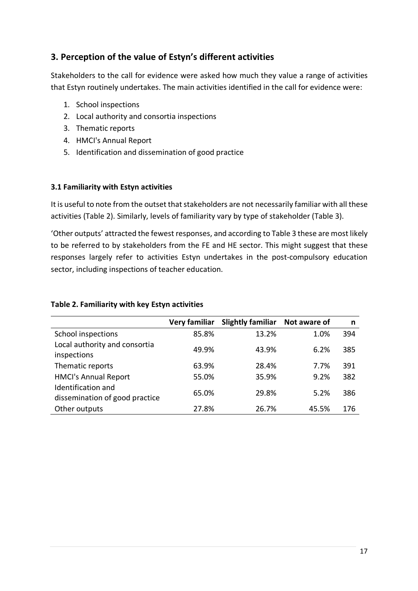## **3. Perception of the value of Estyn's different activities**

Stakeholders to the call for evidence were asked how much they value a range of activities that Estyn routinely undertakes. The main activities identified in the call for evidence were:

- 1. School inspections
- 2. Local authority and consortia inspections
- 3. Thematic reports
- 4. HMCI's Annual Report
- 5. Identification and dissemination of good practice

### **3.1 Familiarity with Estyn activities**

It is useful to note from the outset that stakeholders are not necessarily familiar with all these activities (Table 2). Similarly, levels of familiarity vary by type of stakeholder (Table 3).

'Other outputs' attracted the fewest responses, and according to Table 3 these are most likely to be referred to by stakeholders from the FE and HE sector. This might suggest that these responses largely refer to activities Estyn undertakes in the post-compulsory education sector, including inspections of teacher education.

#### **Table 2. Familiarity with key Estyn activities**

|                                                      | Very familiar | <b>Slightly familiar</b> | Not aware of | n   |
|------------------------------------------------------|---------------|--------------------------|--------------|-----|
| School inspections                                   | 85.8%         | 13.2%                    | 1.0%         | 394 |
| Local authority and consortia<br>inspections         | 49.9%         | 43.9%                    | 6.2%         | 385 |
| Thematic reports                                     | 63.9%         | 28.4%                    | 7.7%         | 391 |
| <b>HMCI's Annual Report</b>                          | 55.0%         | 35.9%                    | 9.2%         | 382 |
| Identification and<br>dissemination of good practice | 65.0%         | 29.8%                    | 5.2%         | 386 |
| Other outputs                                        | 27.8%         | 26.7%                    | 45.5%        | 176 |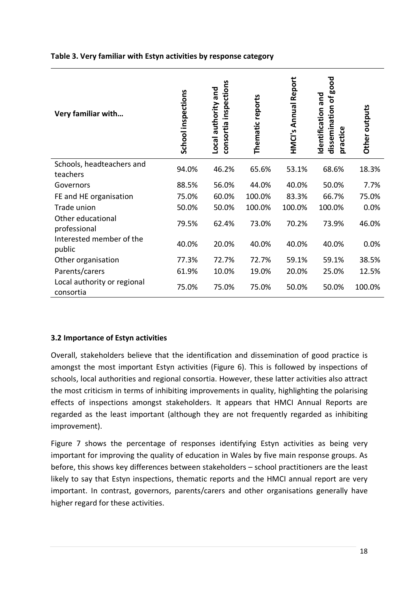#### **Table 3. Very familiar with Estyn activities by response category**

| Very familiar with                       | School inspections | consortia inspections<br>Local authority and | Thematic reports | HMCI's Annual Report | good<br>and<br>ð<br>dissemination<br>Identification<br>practice | Other outputs |
|------------------------------------------|--------------------|----------------------------------------------|------------------|----------------------|-----------------------------------------------------------------|---------------|
| Schools, headteachers and<br>teachers    | 94.0%              | 46.2%                                        | 65.6%            | 53.1%                | 68.6%                                                           | 18.3%         |
| Governors                                | 88.5%              | 56.0%                                        | 44.0%            | 40.0%                | 50.0%                                                           | 7.7%          |
| FE and HE organisation                   | 75.0%              | 60.0%                                        | 100.0%           | 83.3%                | 66.7%                                                           | 75.0%         |
| Trade union                              | 50.0%              | 50.0%                                        | 100.0%           | 100.0%               | 100.0%                                                          | 0.0%          |
| Other educational<br>professional        | 79.5%              | 62.4%                                        | 73.0%            | 70.2%                | 73.9%                                                           | 46.0%         |
| Interested member of the<br>public       | 40.0%              | 20.0%                                        | 40.0%            | 40.0%                | 40.0%                                                           | 0.0%          |
| Other organisation                       | 77.3%              | 72.7%                                        | 72.7%            | 59.1%                | 59.1%                                                           | 38.5%         |
| Parents/carers                           | 61.9%              | 10.0%                                        | 19.0%            | 20.0%                | 25.0%                                                           | 12.5%         |
| Local authority or regional<br>consortia | 75.0%              | 75.0%                                        | 75.0%            | 50.0%                | 50.0%                                                           | 100.0%        |

### **3.2 Importance of Estyn activities**

Overall, stakeholders believe that the identification and dissemination of good practice is amongst the most important Estyn activities (Figure 6). This is followed by inspections of schools, local authorities and regional consortia. However, these latter activities also attract the most criticism in terms of inhibiting improvements in quality, highlighting the polarising effects of inspections amongst stakeholders. It appears that HMCI Annual Reports are regarded as the least important (although they are not frequently regarded as inhibiting improvement).

Figure 7 shows the percentage of responses identifying Estyn activities as being very important for improving the quality of education in Wales by five main response groups. As before, this shows key differences between stakeholders – school practitioners are the least likely to say that Estyn inspections, thematic reports and the HMCI annual report are very important. In contrast, governors, parents/carers and other organisations generally have higher regard for these activities.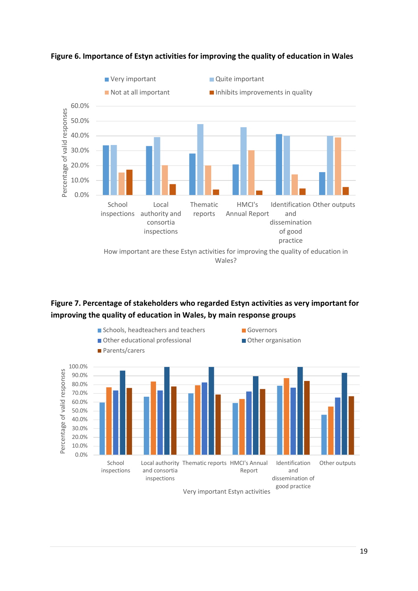

**Figure 6. Importance of Estyn activities for improving the quality of education in Wales**

## **Figure 7. Percentage of stakeholders who regarded Estyn activities as very important for improving the quality of education in Wales, by main response groups**



Very important Estyn activities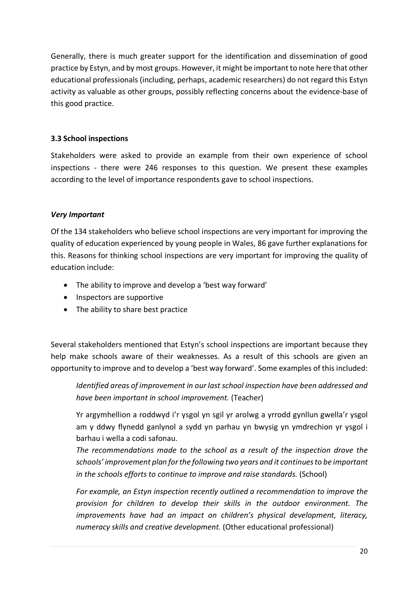Generally, there is much greater support for the identification and dissemination of good practice by Estyn, and by most groups. However, it might be important to note here that other educational professionals (including, perhaps, academic researchers) do not regard this Estyn activity as valuable as other groups, possibly reflecting concerns about the evidence-base of this good practice.

## **3.3 School inspections**

Stakeholders were asked to provide an example from their own experience of school inspections - there were 246 responses to this question. We present these examples according to the level of importance respondents gave to school inspections.

### *Very Important*

Of the 134 stakeholders who believe school inspections are very important for improving the quality of education experienced by young people in Wales, 86 gave further explanations for this. Reasons for thinking school inspections are very important for improving the quality of education include:

- The ability to improve and develop a 'best way forward'
- Inspectors are supportive
- The ability to share best practice

Several stakeholders mentioned that Estyn's school inspections are important because they help make schools aware of their weaknesses. As a result of this schools are given an opportunity to improve and to develop a 'best way forward'. Some examples of this included:

*Identified areas of improvement in our last school inspection have been addressed and have been important in school improvement.* (Teacher)

Yr argymhellion a roddwyd i'r ysgol yn sgil yr arolwg a yrrodd gynllun gwella'r ysgol am y ddwy flynedd ganlynol a sydd yn parhau yn bwysig yn ymdrechion yr ysgol i barhau i wella a codi safonau.

*The recommendations made to the school as a result of the inspection drove the schools' improvement plan for the following two years and it continues to be important in the schools efforts to continue to improve and raise standards.* (School)

*For example, an Estyn inspection recently outlined a recommendation to improve the provision for children to develop their skills in the outdoor environment. The improvements have had an impact on children's physical development, literacy, numeracy skills and creative development.* (Other educational professional)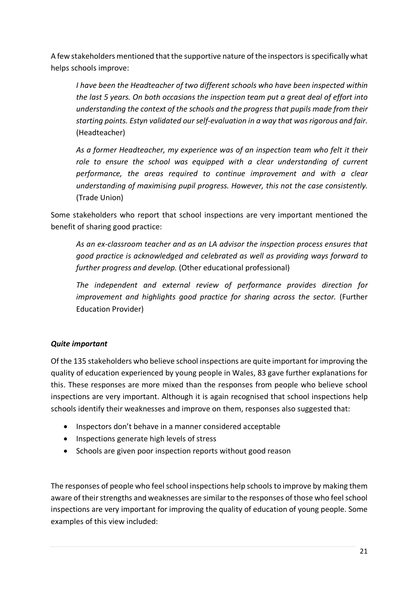A few stakeholders mentioned that the supportive nature of the inspectors isspecifically what helps schools improve:

*I have been the Headteacher of two different schools who have been inspected within the last 5 years. On both occasions the inspection team put a great deal of effort into understanding the context of the schools and the progress that pupils made from their starting points. Estyn validated our self-evaluation in a way that was rigorous and fair.*  (Headteacher)

*As a former Headteacher, my experience was of an inspection team who felt it their*  role to ensure the school was equipped with a clear understanding of current *performance, the areas required to continue improvement and with a clear understanding of maximising pupil progress. However, this not the case consistently.*  (Trade Union)

Some stakeholders who report that school inspections are very important mentioned the benefit of sharing good practice:

*As an ex-classroom teacher and as an LA advisor the inspection process ensures that good practice is acknowledged and celebrated as well as providing ways forward to further progress and develop.* (Other educational professional)

*The independent and external review of performance provides direction for improvement and highlights good practice for sharing across the sector.* (Further Education Provider)

## *Quite important*

Of the 135 stakeholders who believe school inspections are quite important for improving the quality of education experienced by young people in Wales, 83 gave further explanations for this. These responses are more mixed than the responses from people who believe school inspections are very important. Although it is again recognised that school inspections help schools identify their weaknesses and improve on them, responses also suggested that:

- Inspectors don't behave in a manner considered acceptable
- Inspections generate high levels of stress
- Schools are given poor inspection reports without good reason

The responses of people who feel school inspections help schools to improve by making them aware of their strengths and weaknesses are similar to the responses of those who feel school inspections are very important for improving the quality of education of young people. Some examples of this view included: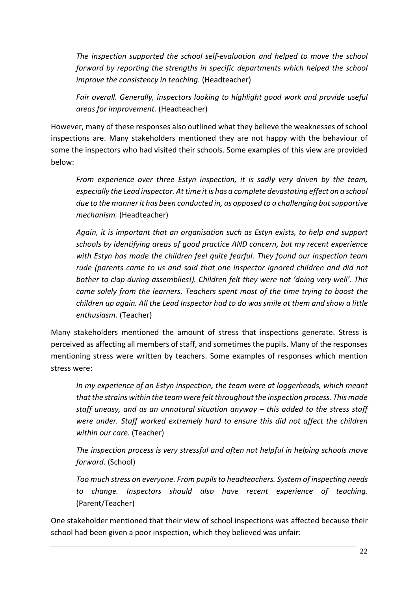*The inspection supported the school self-evaluation and helped to move the school forward by reporting the strengths in specific departments which helped the school improve the consistency in teaching.* (Headteacher)

*Fair overall. Generally, inspectors looking to highlight good work and provide useful areas for improvement.* (Headteacher)

However, many of these responses also outlined what they believe the weaknesses of school inspections are. Many stakeholders mentioned they are not happy with the behaviour of some the inspectors who had visited their schools. Some examples of this view are provided below:

*From experience over three Estyn inspection, it is sadly very driven by the team, especially the Lead inspector. At time it is has a complete devastating effect on a school due to the manner it has been conducted in, as opposed to a challenging but supportive mechanism.* (Headteacher)

*Again, it is important that an organisation such as Estyn exists, to help and support schools by identifying areas of good practice AND concern, but my recent experience with Estyn has made the children feel quite fearful. They found our inspection team rude (parents came to us and said that one inspector ignored children and did not bother to clap during assemblies!). Children felt they were not 'doing very well'. This came solely from the learners. Teachers spent most of the time trying to boost the children up again. All the Lead Inspector had to do was smile at them and show a little enthusiasm.* (Teacher)

Many stakeholders mentioned the amount of stress that inspections generate. Stress is perceived as affecting all members of staff, and sometimes the pupils. Many of the responses mentioning stress were written by teachers. Some examples of responses which mention stress were:

*In my experience of an Estyn inspection, the team were at loggerheads, which meant that the strains within the team were felt throughout the inspection process. This made staff uneasy, and as an unnatural situation anyway – this added to the stress staff were under. Staff worked extremely hard to ensure this did not affect the children within our care.* (Teacher)

*The inspection process is very stressful and often not helpful in helping schools move forward.* (School)

*Too much stress on everyone. From pupils to headteachers. System of inspecting needs to change. Inspectors should also have recent experience of teaching.* (Parent/Teacher)

One stakeholder mentioned that their view of school inspections was affected because their school had been given a poor inspection, which they believed was unfair: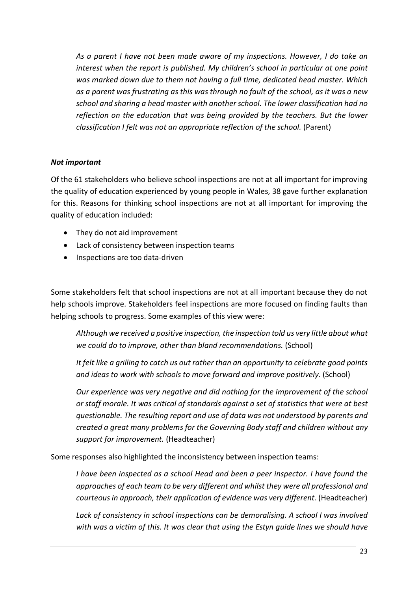*As a parent I have not been made aware of my inspections. However, I do take an interest when the report is published. My children's school in particular at one point was marked down due to them not having a full time, dedicated head master. Which as a parent was frustrating as this was through no fault of the school, as it was a new school and sharing a head master with another school. The lower classification had no reflection on the education that was being provided by the teachers. But the lower classification I felt was not an appropriate reflection of the school.* (Parent)

### *Not important*

Of the 61 stakeholders who believe school inspections are not at all important for improving the quality of education experienced by young people in Wales, 38 gave further explanation for this. Reasons for thinking school inspections are not at all important for improving the quality of education included:

- They do not aid improvement
- Lack of consistency between inspection teams
- Inspections are too data-driven

Some stakeholders felt that school inspections are not at all important because they do not help schools improve. Stakeholders feel inspections are more focused on finding faults than helping schools to progress. Some examples of this view were:

*Although we received a positive inspection, the inspection told us very little about what we could do to improve, other than bland recommendations.* (School)

*It felt like a grilling to catch us out rather than an opportunity to celebrate good points and ideas to work with schools to move forward and improve positively.* (School)

*Our experience was very negative and did nothing for the improvement of the school or staff morale. It was critical of standards against a set of statistics that were at best questionable. The resulting report and use of data was not understood by parents and created a great many problems for the Governing Body staff and children without any support for improvement.* (Headteacher)

Some responses also highlighted the inconsistency between inspection teams:

*I have been inspected as a school Head and been a peer inspector. I have found the approaches of each team to be very different and whilst they were all professional and courteous in approach, their application of evidence was very different.* (Headteacher)

*Lack of consistency in school inspections can be demoralising. A school I was involved with was a victim of this. It was clear that using the Estyn guide lines we should have*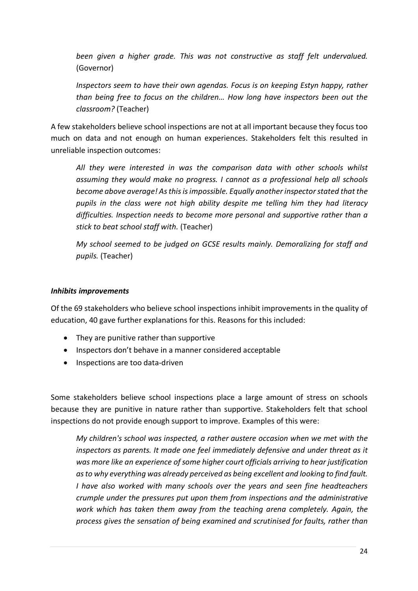*been given a higher grade. This was not constructive as staff felt undervalued.*  (Governor)

*Inspectors seem to have their own agendas. Focus is on keeping Estyn happy, rather than being free to focus on the children… How long have inspectors been out the classroom?* (Teacher)

A few stakeholders believe school inspections are not at all important because they focus too much on data and not enough on human experiences. Stakeholders felt this resulted in unreliable inspection outcomes:

*All they were interested in was the comparison data with other schools whilst assuming they would make no progress. I cannot as a professional help all schools become above average! As this is impossible. Equally another inspector stated that the pupils in the class were not high ability despite me telling him they had literacy difficulties. Inspection needs to become more personal and supportive rather than a stick to beat school staff with.* (Teacher)

*My school seemed to be judged on GCSE results mainly. Demoralizing for staff and pupils.* (Teacher)

#### *Inhibits improvements*

Of the 69 stakeholders who believe school inspections inhibit improvements in the quality of education, 40 gave further explanations for this. Reasons for this included:

- They are punitive rather than supportive
- Inspectors don't behave in a manner considered acceptable
- Inspections are too data-driven

Some stakeholders believe school inspections place a large amount of stress on schools because they are punitive in nature rather than supportive. Stakeholders felt that school inspections do not provide enough support to improve. Examples of this were:

*My children's school was inspected, a rather austere occasion when we met with the inspectors as parents. It made one feel immediately defensive and under threat as it was more like an experience of some higher court officials arriving to hear justification as to why everything was already perceived as being excellent and looking to find fault. I have also worked with many schools over the years and seen fine headteachers crumple under the pressures put upon them from inspections and the administrative work which has taken them away from the teaching arena completely. Again, the process gives the sensation of being examined and scrutinised for faults, rather than*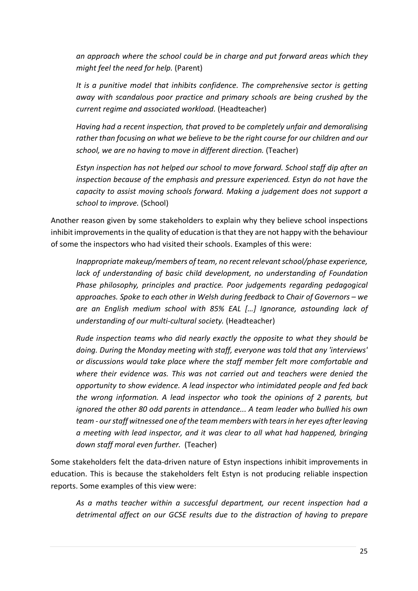*an approach where the school could be in charge and put forward areas which they might feel the need for help.* (Parent)

*It is a punitive model that inhibits confidence. The comprehensive sector is getting away with scandalous poor practice and primary schools are being crushed by the current regime and associated workload.* (Headteacher)

*Having had a recent inspection, that proved to be completely unfair and demoralising rather than focusing on what we believe to be the right course for our children and our school, we are no having to move in different direction.* (Teacher)

*Estyn inspection has not helped our school to move forward. School staff dip after an inspection because of the emphasis and pressure experienced. Estyn do not have the capacity to assist moving schools forward. Making a judgement does not support a school to improve.* (School)

Another reason given by some stakeholders to explain why they believe school inspections inhibit improvements in the quality of education is that they are not happy with the behaviour of some the inspectors who had visited their schools. Examples of this were:

*Inappropriate makeup/members of team, no recent relevant school/phase experience, lack of understanding of basic child development, no understanding of Foundation Phase philosophy, principles and practice. Poor judgements regarding pedagogical approaches. Spoke to each other in Welsh during feedback to Chair of Governors – we are an English medium school with 85% EAL […] Ignorance, astounding lack of understanding of our multi-cultural society.* (Headteacher)

*Rude inspection teams who did nearly exactly the opposite to what they should be doing. During the Monday meeting with staff, everyone was told that any 'interviews' or discussions would take place where the staff member felt more comfortable and where their evidence was. This was not carried out and teachers were denied the opportunity to show evidence. A lead inspector who intimidated people and fed back the wrong information. A lead inspector who took the opinions of 2 parents, but ignored the other 80 odd parents in attendance... A team leader who bullied his own team - our staff witnessed one of the team members with tears in her eyes after leaving a meeting with lead inspector, and it was clear to all what had happened, bringing down staff moral even further.* (Teacher)

Some stakeholders felt the data-driven nature of Estyn inspections inhibit improvements in education. This is because the stakeholders felt Estyn is not producing reliable inspection reports. Some examples of this view were:

*As a maths teacher within a successful department, our recent inspection had a detrimental affect on our GCSE results due to the distraction of having to prepare*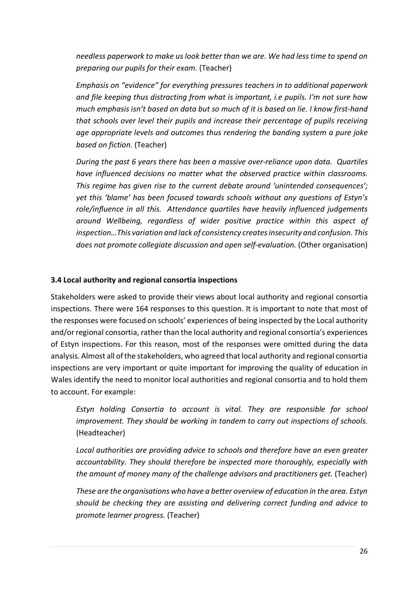*needless paperwork to make us look better than we are. We had less time to spend on preparing our pupils for their exam.* (Teacher)

*Emphasis on "evidence" for everything pressures teachers in to additional paperwork and file keeping thus distracting from what is important, i.e pupils. I'm not sure how much emphasis isn't based on data but so much of it is based on lie. I know first-hand that schools over level their pupils and increase their percentage of pupils receiving age appropriate levels and outcomes thus rendering the banding system a pure joke based on fiction.* (Teacher)

*During the past 6 years there has been a massive over-reliance upon data. Quartiles have influenced decisions no matter what the observed practice within classrooms. This regime has given rise to the current debate around 'unintended consequences'; yet this 'blame' has been focused towards schools without any questions of Estyn's role/influence in all this. Attendance quartiles have heavily influenced judgements around Wellbeing, regardless of wider positive practice within this aspect of inspection…This variation and lack of consistency creates insecurity and confusion. This* does not promote collegiate discussion and open self-evaluation. (Other organisation)

#### **3.4 Local authority and regional consortia inspections**

Stakeholders were asked to provide their views about local authority and regional consortia inspections. There were 164 responses to this question. It is important to note that most of the responses were focused on schools' experiences of being inspected by the Local authority and/orregional consortia, rather than the local authority and regional consortia's experiences of Estyn inspections. For this reason, most of the responses were omitted during the data analysis. Almost all of the stakeholders, who agreed that local authority and regional consortia inspections are very important or quite important for improving the quality of education in Wales identify the need to monitor local authorities and regional consortia and to hold them to account. For example:

*Estyn holding Consortia to account is vital. They are responsible for school improvement. They should be working in tandem to carry out inspections of schools.* (Headteacher)

*Local authorities are providing advice to schools and therefore have an even greater accountability. They should therefore be inspected more thoroughly, especially with the amount of money many of the challenge advisors and practitioners get.* (Teacher)

*These are the organisations who have a better overview of education in the area. Estyn should be checking they are assisting and delivering correct funding and advice to promote learner progress.* (Teacher)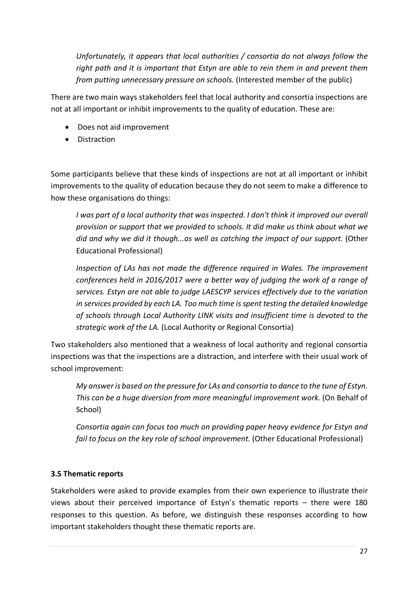*Unfortunately, it appears that local authorities / consortia do not always follow the right path and it is important that Estyn are able to rein them in and prevent them from putting unnecessary pressure on schools.* (Interested member of the public)

There are two main ways stakeholders feel that local authority and consortia inspections are not at all important or inhibit improvements to the quality of education. These are:

- Does not aid improvement
- Distraction

Some participants believe that these kinds of inspections are not at all important or inhibit improvements to the quality of education because they do not seem to make a difference to how these organisations do things:

*I was part of a local authority that was inspected. I don't think it improved our overall provision or support that we provided to schools. It did make us think about what we did and why we did it though...as well as catching the impact of our support.* (Other Educational Professional)

*Inspection of LAs has not made the difference required in Wales. The improvement conferences held in 2016/2017 were a better way of judging the work of a range of services. Estyn are not able to judge LAESCYP services effectively due to the variation in services provided by each LA. Too much time is spent testing the detailed knowledge of schools through Local Authority LINK visits and insufficient time is devoted to the strategic work of the LA.* (Local Authority or Regional Consortia)

Two stakeholders also mentioned that a weakness of local authority and regional consortia inspections was that the inspections are a distraction, and interfere with their usual work of school improvement:

*My answer is based on the pressure for LAs and consortia to dance to the tune of Estyn. This can be a huge diversion from more meaningful improvement work.* (On Behalf of School)

*Consortia again can focus too much on providing paper heavy evidence for Estyn and fail to focus on the key role of school improvement.* (Other Educational Professional)

## **3.5 Thematic reports**

Stakeholders were asked to provide examples from their own experience to illustrate their views about their perceived importance of Estyn's thematic reports – there were 180 responses to this question. As before, we distinguish these responses according to how important stakeholders thought these thematic reports are.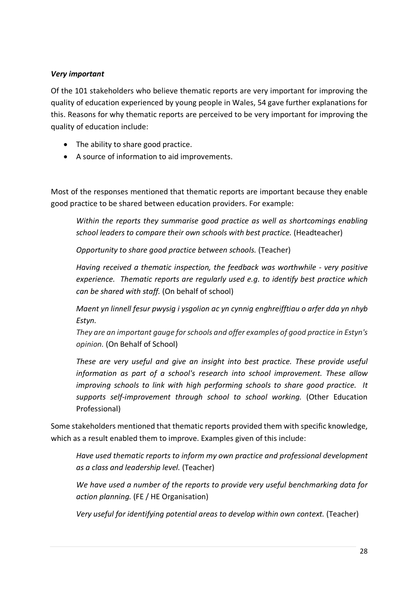### *Very important*

Of the 101 stakeholders who believe thematic reports are very important for improving the quality of education experienced by young people in Wales, 54 gave further explanations for this. Reasons for why thematic reports are perceived to be very important for improving the quality of education include:

- The ability to share good practice.
- A source of information to aid improvements.

Most of the responses mentioned that thematic reports are important because they enable good practice to be shared between education providers. For example:

*Within the reports they summarise good practice as well as shortcomings enabling school leaders to compare their own schools with best practice.* (Headteacher)

*Opportunity to share good practice between schools.* (Teacher)

*Having received a thematic inspection, the feedback was worthwhile - very positive experience. Thematic reports are regularly used e.g. to identify best practice which can be shared with staff.* (On behalf of school)

*Maent yn linnell fesur pwysig i ysgolion ac yn cynnig enghreifftiau o arfer dda yn nhyb Estyn.* 

*They are an important gauge for schools and offer examples of good practice in Estyn's opinion.* (On Behalf of School)

*These are very useful and give an insight into best practice. These provide useful information as part of a school's research into school improvement. These allow improving schools to link with high performing schools to share good practice. It supports self-improvement through school to school working.* (Other Education Professional)

Some stakeholders mentioned that thematic reports provided them with specific knowledge, which as a result enabled them to improve. Examples given of this include:

*Have used thematic reports to inform my own practice and professional development as a class and leadership level.* (Teacher)

*We have used a number of the reports to provide very useful benchmarking data for action planning.* (FE / HE Organisation)

*Very useful for identifying potential areas to develop within own context.* (Teacher)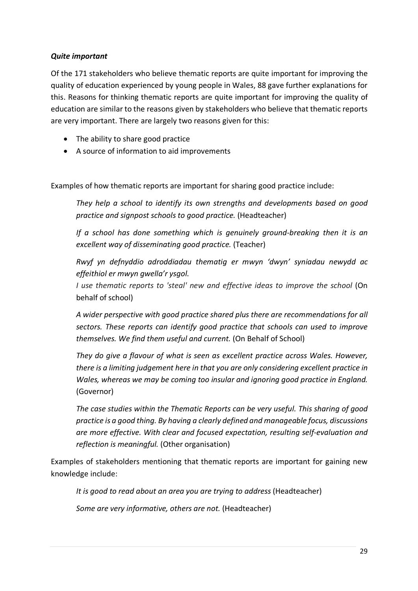### *Quite important*

Of the 171 stakeholders who believe thematic reports are quite important for improving the quality of education experienced by young people in Wales, 88 gave further explanations for this. Reasons for thinking thematic reports are quite important for improving the quality of education are similar to the reasons given by stakeholders who believe that thematic reports are very important. There are largely two reasons given for this:

- The ability to share good practice
- A source of information to aid improvements

Examples of how thematic reports are important for sharing good practice include:

*They help a school to identify its own strengths and developments based on good practice and signpost schools to good practice.* (Headteacher)

*If a school has done something which is genuinely ground-breaking then it is an excellent way of disseminating good practice.* (Teacher)

*Rwyf yn defnyddio adroddiadau thematig er mwyn 'dwyn' syniadau newydd ac effeithiol er mwyn gwella'r ysgol.*

*I use thematic reports to 'steal' new and effective ideas to improve the school* (On behalf of school)

*A wider perspective with good practice shared plus there are recommendations for all sectors. These reports can identify good practice that schools can used to improve themselves. We find them useful and current.* (On Behalf of School)

*They do give a flavour of what is seen as excellent practice across Wales. However, there is a limiting judgement here in that you are only considering excellent practice in Wales, whereas we may be coming too insular and ignoring good practice in England.* (Governor)

*The case studies within the Thematic Reports can be very useful. This sharing of good practice is a good thing. By having a clearly defined and manageable focus, discussions are more effective. With clear and focused expectation, resulting self-evaluation and reflection is meaningful.* (Other organisation)

Examples of stakeholders mentioning that thematic reports are important for gaining new knowledge include:

*It is good to read about an area you are trying to address* (Headteacher)

*Some are very informative, others are not.* (Headteacher)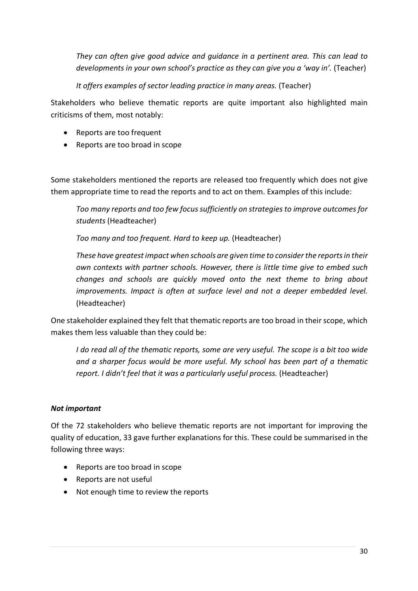*They can often give good advice and guidance in a pertinent area. This can lead to developments in your own school's practice as they can give you a 'way in'.* (Teacher)

*It offers examples of sector leading practice in many areas.* (Teacher)

Stakeholders who believe thematic reports are quite important also highlighted main criticisms of them, most notably:

- Reports are too frequent
- Reports are too broad in scope

Some stakeholders mentioned the reports are released too frequently which does not give them appropriate time to read the reports and to act on them. Examples of this include:

*Too many reports and too few focus sufficiently on strategies to improve outcomes for students* (Headteacher)

*Too many and too frequent. Hard to keep up.* (Headteacher)

*These have greatest impact when schools are given time to consider the reports in their own contexts with partner schools. However, there is little time give to embed such changes and schools are quickly moved onto the next theme to bring about improvements. Impact is often at surface level and not a deeper embedded level.* (Headteacher)

One stakeholder explained they felt that thematic reports are too broad in their scope, which makes them less valuable than they could be:

*I do read all of the thematic reports, some are very useful. The scope is a bit too wide and a sharper focus would be more useful. My school has been part of a thematic report. I didn't feel that it was a particularly useful process.* (Headteacher)

## *Not important*

Of the 72 stakeholders who believe thematic reports are not important for improving the quality of education, 33 gave further explanations for this. These could be summarised in the following three ways:

- Reports are too broad in scope
- Reports are not useful
- Not enough time to review the reports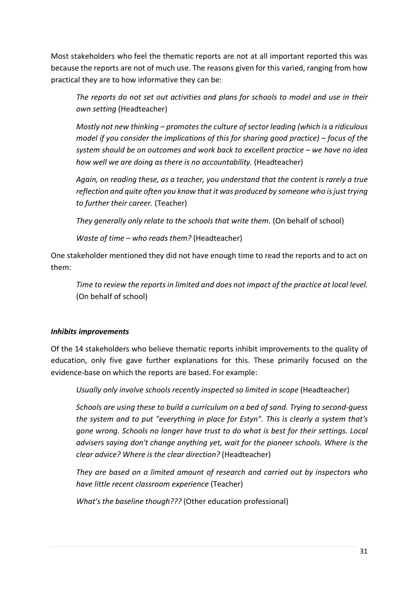Most stakeholders who feel the thematic reports are not at all important reported this was because the reports are not of much use. The reasons given for this varied, ranging from how practical they are to how informative they can be:

*The reports do not set out activities and plans for schools to model and use in their own setting* (Headteacher)

*Mostly not new thinking – promotes the culture of sector leading (which is a ridiculous model if you consider the implications of this for sharing good practice) – focus of the system should be on outcomes and work back to excellent practice – we have no idea how well we are doing as there is no accountability.* (Headteacher)

*Again, on reading these, as a teacher, you understand that the content is rarely a true reflection and quite often you know that it was produced by someone who is just trying to further their career.* (Teacher)

*They generally only relate to the schools that write them.* (On behalf of school)

*Waste of time – who reads them?* (Headteacher)

One stakeholder mentioned they did not have enough time to read the reports and to act on them:

*Time to review the reports in limited and does not impact of the practice at local level.* (On behalf of school)

## *Inhibits improvements*

Of the 14 stakeholders who believe thematic reports inhibit improvements to the quality of education, only five gave further explanations for this. These primarily focused on the evidence-base on which the reports are based. For example:

*Usually only involve schools recently inspected so limited in scope* (Headteacher)

*Schools are using these to build a curriculum on a bed of sand. Trying to second-guess the system and to put "everything in place for Estyn". This is clearly a system that's gone wrong. Schools no longer have trust to do what is best for their settings. Local advisers saying don't change anything yet, wait for the pioneer schools. Where is the clear advice? Where is the clear direction?* (Headteacher)

*They are based on a limited amount of research and carried out by inspectors who have little recent classroom experience* (Teacher)

*What's the baseline though???* (Other education professional)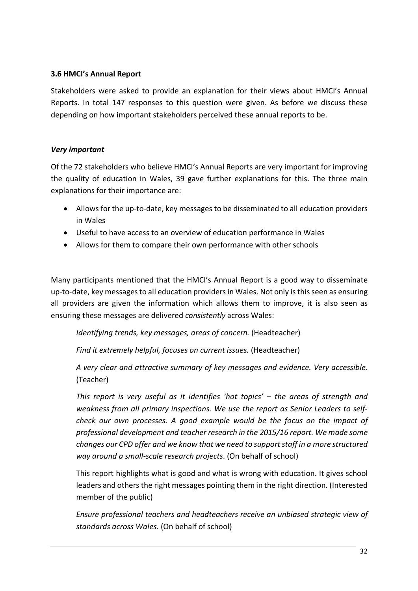### **3.6 HMCI's Annual Report**

Stakeholders were asked to provide an explanation for their views about HMCI's Annual Reports. In total 147 responses to this question were given. As before we discuss these depending on how important stakeholders perceived these annual reports to be.

#### *Very important*

Of the 72 stakeholders who believe HMCI's Annual Reports are very important for improving the quality of education in Wales, 39 gave further explanations for this. The three main explanations for their importance are:

- Allows for the up-to-date, key messages to be disseminated to all education providers in Wales
- Useful to have access to an overview of education performance in Wales
- Allows for them to compare their own performance with other schools

Many participants mentioned that the HMCI's Annual Report is a good way to disseminate up-to-date, key messages to all education providers in Wales. Not only isthis seen as ensuring all providers are given the information which allows them to improve, it is also seen as ensuring these messages are delivered *consistently* across Wales:

*Identifying trends, key messages, areas of concern.* (Headteacher)

*Find it extremely helpful, focuses on current issues.* (Headteacher)

*A very clear and attractive summary of key messages and evidence. Very accessible.* (Teacher)

*This report is very useful as it identifies 'hot topics' – the areas of strength and weakness from all primary inspections. We use the report as Senior Leaders to selfcheck our own processes. A good example would be the focus on the impact of professional development and teacher research in the 2015/16 report. We made some changes our CPD offer and we know that we need to support staff in a more structured way around a small-scale research projects*. (On behalf of school)

This report highlights what is good and what is wrong with education. It gives school leaders and others the right messages pointing them in the right direction. (Interested member of the public)

*Ensure professional teachers and headteachers receive an unbiased strategic view of standards across Wales.* (On behalf of school)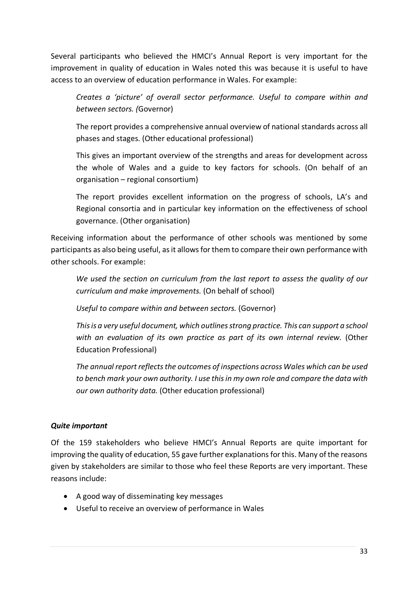Several participants who believed the HMCI's Annual Report is very important for the improvement in quality of education in Wales noted this was because it is useful to have access to an overview of education performance in Wales. For example:

*Creates a 'picture' of overall sector performance. Useful to compare within and between sectors. (*Governor)

The report provides a comprehensive annual overview of national standards across all phases and stages. (Other educational professional)

This gives an important overview of the strengths and areas for development across the whole of Wales and a guide to key factors for schools. (On behalf of an organisation – regional consortium)

The report provides excellent information on the progress of schools, LA's and Regional consortia and in particular key information on the effectiveness of school governance. (Other organisation)

Receiving information about the performance of other schools was mentioned by some participants as also being useful, as it allows for them to compare their own performance with other schools. For example:

*We used the section on curriculum from the last report to assess the quality of our curriculum and make improvements.* (On behalf of school)

*Useful to compare within and between sectors.* (Governor)

*This is a very useful document, which outlines strong practice. This can support a school with an evaluation of its own practice as part of its own internal review.* (Other Education Professional)

*The annual report reflects the outcomes of inspections across Wales which can be used to bench mark your own authority. I use this in my own role and compare the data with our own authority data.* (Other education professional)

### *Quite important*

Of the 159 stakeholders who believe HMCI's Annual Reports are quite important for improving the quality of education, 55 gave further explanations for this. Many of the reasons given by stakeholders are similar to those who feel these Reports are very important. These reasons include:

- A good way of disseminating key messages
- Useful to receive an overview of performance in Wales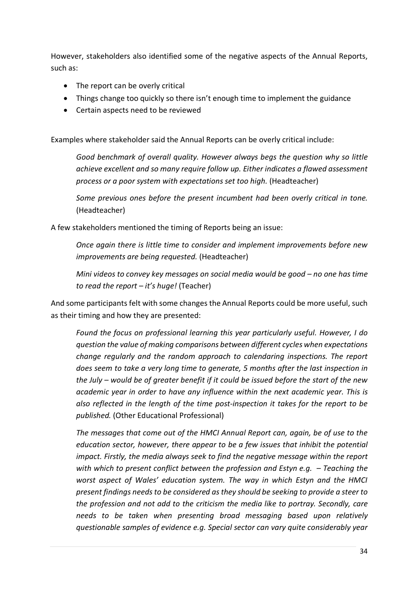However, stakeholders also identified some of the negative aspects of the Annual Reports, such as:

- The report can be overly critical
- Things change too quickly so there isn't enough time to implement the guidance
- Certain aspects need to be reviewed

Examples where stakeholder said the Annual Reports can be overly critical include:

*Good benchmark of overall quality. However always begs the question why so little achieve excellent and so many require follow up. Either indicates a flawed assessment process or a poor system with expectations set too high.* (Headteacher)

*Some previous ones before the present incumbent had been overly critical in tone.* (Headteacher)

A few stakeholders mentioned the timing of Reports being an issue:

*Once again there is little time to consider and implement improvements before new improvements are being requested.* (Headteacher)

*Mini videos to convey key messages on social media would be good – no one has time to read the report – it's huge!* (Teacher)

And some participants felt with some changes the Annual Reports could be more useful, such as their timing and how they are presented:

*Found the focus on professional learning this year particularly useful. However, I do question the value of making comparisons between different cycles when expectations change regularly and the random approach to calendaring inspections. The report does seem to take a very long time to generate, 5 months after the last inspection in the July – would be of greater benefit if it could be issued before the start of the new academic year in order to have any influence within the next academic year. This is also reflected in the length of the time post-inspection it takes for the report to be published.* (Other Educational Professional)

*The messages that come out of the HMCI Annual Report can, again, be of use to the education sector, however, there appear to be a few issues that inhibit the potential impact. Firstly, the media always seek to find the negative message within the report with which to present conflict between the profession and Estyn e.g. – Teaching the worst aspect of Wales' education system. The way in which Estyn and the HMCI present findings needs to be considered as they should be seeking to provide a steer to the profession and not add to the criticism the media like to portray. Secondly, care needs to be taken when presenting broad messaging based upon relatively questionable samples of evidence e.g. Special sector can vary quite considerably year*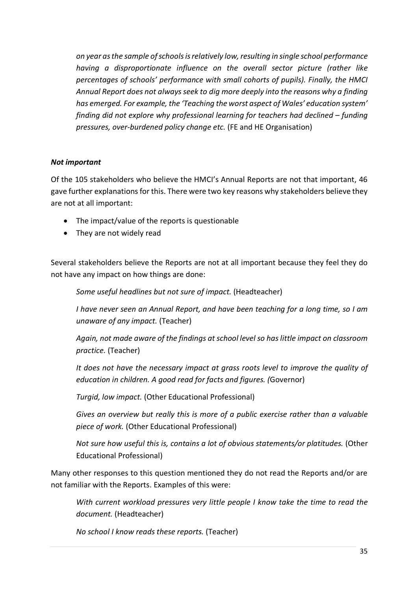*on year as the sample of schools is relatively low, resulting in single school performance having a disproportionate influence on the overall sector picture (rather like percentages of schools' performance with small cohorts of pupils). Finally, the HMCI Annual Report does not always seek to dig more deeply into the reasons why a finding has emerged. For example, the 'Teaching the worst aspect of Wales' education system' finding did not explore why professional learning for teachers had declined – funding pressures, over-burdened policy change etc.* (FE and HE Organisation)

### *Not important*

Of the 105 stakeholders who believe the HMCI's Annual Reports are not that important, 46 gave further explanations for this. There were two key reasons why stakeholders believe they are not at all important:

- The impact/value of the reports is questionable
- They are not widely read

Several stakeholders believe the Reports are not at all important because they feel they do not have any impact on how things are done:

*Some useful headlines but not sure of impact.* (Headteacher)

*I have never seen an Annual Report, and have been teaching for a long time, so I am unaware of any impact.* (Teacher)

*Again, not made aware of the findings at school level so has little impact on classroom practice.* (Teacher)

*It does not have the necessary impact at grass roots level to improve the quality of education in children. A good read for facts and figures. (*Governor)

*Turgid, low impact.* (Other Educational Professional)

*Gives an overview but really this is more of a public exercise rather than a valuable piece of work.* (Other Educational Professional)

*Not sure how useful this is, contains a lot of obvious statements/or platitudes.* (Other Educational Professional)

Many other responses to this question mentioned they do not read the Reports and/or are not familiar with the Reports. Examples of this were:

*With current workload pressures very little people I know take the time to read the document.* (Headteacher)

*No school I know reads these reports.* (Teacher)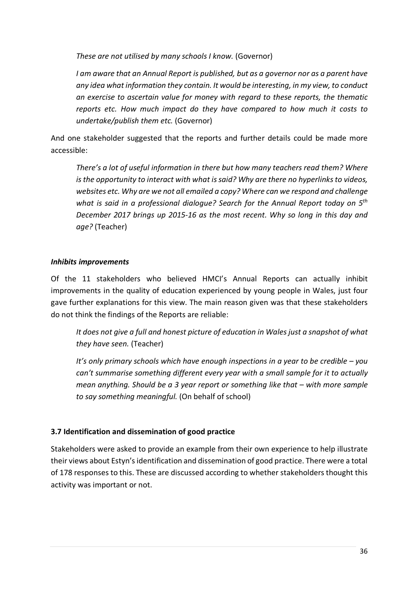*These are not utilised by many schools I know.* (Governor)

*I am aware that an Annual Report is published, but as a governor nor as a parent have any idea what information they contain. It would be interesting, in my view, to conduct an exercise to ascertain value for money with regard to these reports, the thematic reports etc. How much impact do they have compared to how much it costs to undertake/publish them etc.* (Governor)

And one stakeholder suggested that the reports and further details could be made more accessible:

*There's a lot of useful information in there but how many teachers read them? Where is the opportunity to interact with what is said? Why are there no hyperlinks to videos, websites etc. Why are we not all emailed a copy? Where can we respond and challenge what is said in a professional dialogue? Search for the Annual Report today on 5th December 2017 brings up 2015-16 as the most recent. Why so long in this day and age?* (Teacher)

## *Inhibits improvements*

Of the 11 stakeholders who believed HMCI's Annual Reports can actually inhibit improvements in the quality of education experienced by young people in Wales, just four gave further explanations for this view. The main reason given was that these stakeholders do not think the findings of the Reports are reliable:

*It does not give a full and honest picture of education in Wales just a snapshot of what they have seen.* (Teacher)

*It's only primary schools which have enough inspections in a year to be credible – you can't summarise something different every year with a small sample for it to actually mean anything. Should be a 3 year report or something like that – with more sample to say something meaningful.* (On behalf of school)

## **3.7 Identification and dissemination of good practice**

Stakeholders were asked to provide an example from their own experience to help illustrate their views about Estyn's identification and dissemination of good practice. There were a total of 178 responses to this. These are discussed according to whether stakeholders thought this activity was important or not.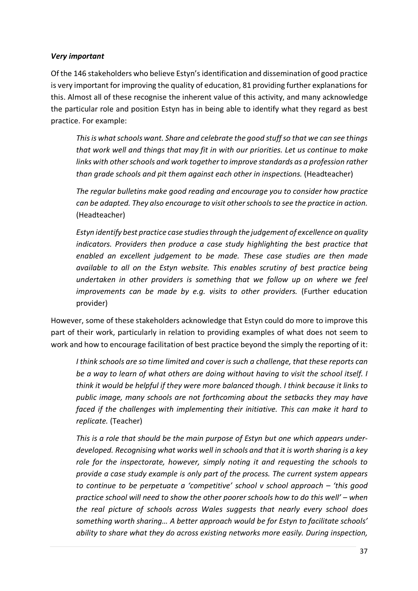#### *Very important*

Of the 146 stakeholders who believe Estyn's identification and dissemination of good practice is very important for improving the quality of education, 81 providing further explanationsfor this. Almost all of these recognise the inherent value of this activity, and many acknowledge the particular role and position Estyn has in being able to identify what they regard as best practice. For example:

*This is what schools want. Share and celebrate the good stuff so that we can see things that work well and things that may fit in with our priorities. Let us continue to make links with other schools and work together to improve standards as a profession rather than grade schools and pit them against each other in inspections.* (Headteacher)

*The regular bulletins make good reading and encourage you to consider how practice can be adapted. They also encourage to visit other schools to see the practice in action.*  (Headteacher)

*Estyn identify best practice case studies through the judgement of excellence on quality indicators. Providers then produce a case study highlighting the best practice that enabled an excellent judgement to be made. These case studies are then made available to all on the Estyn website. This enables scrutiny of best practice being undertaken in other providers is something that we follow up on where we feel improvements can be made by e.g. visits to other providers.* (Further education provider)

However, some of these stakeholders acknowledge that Estyn could do more to improve this part of their work, particularly in relation to providing examples of what does not seem to work and how to encourage facilitation of best practice beyond the simply the reporting of it:

*I think schools are so time limited and cover is such a challenge, that these reports can be a way to learn of what others are doing without having to visit the school itself. I think it would be helpful if they were more balanced though. I think because it links to public image, many schools are not forthcoming about the setbacks they may have faced if the challenges with implementing their initiative. This can make it hard to replicate.* (Teacher)

*This is a role that should be the main purpose of Estyn but one which appears underdeveloped. Recognising what works well in schools and that it is worth sharing is a key role for the inspectorate, however, simply noting it and requesting the schools to provide a case study example is only part of the process. The current system appears to continue to be perpetuate a 'competitive' school v school approach – 'this good practice school will need to show the other poorer schools how to do this well' – when the real picture of schools across Wales suggests that nearly every school does something worth sharing… A better approach would be for Estyn to facilitate schools' ability to share what they do across existing networks more easily. During inspection,*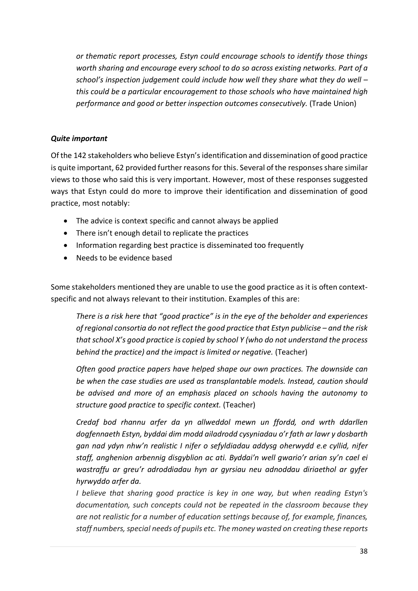*or thematic report processes, Estyn could encourage schools to identify those things worth sharing and encourage every school to do so across existing networks. Part of a school's inspection judgement could include how well they share what they do well – this could be a particular encouragement to those schools who have maintained high performance and good or better inspection outcomes consecutively.* (Trade Union)

## *Quite important*

Of the 142 stakeholders who believe Estyn's identification and dissemination of good practice is quite important, 62 provided further reasons for this. Several of the responses share similar views to those who said this is very important. However, most of these responses suggested ways that Estyn could do more to improve their identification and dissemination of good practice, most notably:

- The advice is context specific and cannot always be applied
- There isn't enough detail to replicate the practices
- Information regarding best practice is disseminated too frequently
- Needs to be evidence based

Some stakeholders mentioned they are unable to use the good practice as it is often contextspecific and not always relevant to their institution. Examples of this are:

*There is a risk here that "good practice" is in the eye of the beholder and experiences of regional consortia do not reflect the good practice that Estyn publicise – and the risk that school X's good practice is copied by school Y (who do not understand the process behind the practice) and the impact is limited or negative.* (Teacher)

*Often good practice papers have helped shape our own practices. The downside can be when the case studies are used as transplantable models. Instead, caution should be advised and more of an emphasis placed on schools having the autonomy to structure good practice to specific context.* (Teacher)

*Credaf bod rhannu arfer da yn allweddol mewn un ffordd, ond wrth ddarllen dogfennaeth Estyn, byddai dim modd ailadrodd cysyniadau o'r fath ar lawr y dosbarth gan nad ydyn nhw'n realistic I nifer o sefyldiadau addysg oherwydd e.e cyllid, nifer staff, anghenion arbennig disgyblion ac ati. Byddai'n well gwario'r arian sy'n cael ei wastraffu ar greu'r adroddiadau hyn ar gyrsiau neu adnoddau diriaethol ar gyfer hyrwyddo arfer da.*

*I believe that sharing good practice is key in one way, but when reading Estyn's documentation, such concepts could not be repeated in the classroom because they are not realistic for a number of education settings because of, for example, finances, staff numbers, special needs of pupils etc. The money wasted on creating these reports*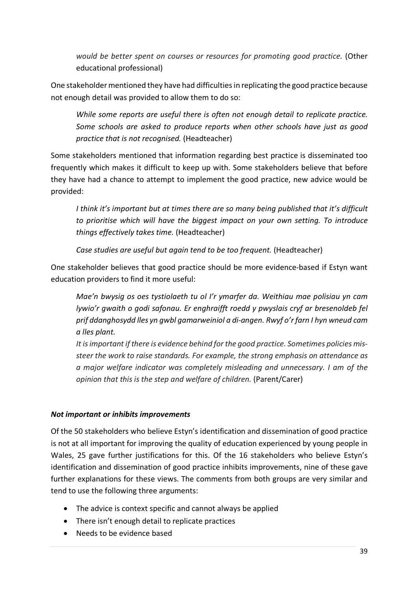*would be better spent on courses or resources for promoting good practice.* (Other educational professional)

One stakeholder mentioned they have had difficulties in replicating the good practice because not enough detail was provided to allow them to do so:

*While some reports are useful there is often not enough detail to replicate practice. Some schools are asked to produce reports when other schools have just as good practice that is not recognised.* (Headteacher)

Some stakeholders mentioned that information regarding best practice is disseminated too frequently which makes it difficult to keep up with. Some stakeholders believe that before they have had a chance to attempt to implement the good practice, new advice would be provided:

*I think it's important but at times there are so many being published that it's difficult to prioritise which will have the biggest impact on your own setting. To introduce things effectively takes time.* (Headteacher)

*Case studies are useful but again tend to be too frequent.* (Headteacher)

One stakeholder believes that good practice should be more evidence-based if Estyn want education providers to find it more useful:

*Mae'n bwysig os oes tystiolaeth tu ol I'r ymarfer da. Weithiau mae polisiau yn cam lywio'r gwaith o godi safonau. Er enghraifft roedd y pwyslais cryf ar bresenoldeb fel prif ddanghosydd lles yn gwbl gamarweiniol a di-angen. Rwyf o'r farn I hyn wneud cam a lles plant.*

*It is important if there is evidence behind for the good practice. Sometimes policies missteer the work to raise standards. For example, the strong emphasis on attendance as a major welfare indicator was completely misleading and unnecessary. I am of the opinion that this is the step and welfare of children.* (Parent/Carer)

## *Not important or inhibits improvements*

Of the 50 stakeholders who believe Estyn's identification and dissemination of good practice is not at all important for improving the quality of education experienced by young people in Wales, 25 gave further justifications for this. Of the 16 stakeholders who believe Estyn's identification and dissemination of good practice inhibits improvements, nine of these gave further explanations for these views. The comments from both groups are very similar and tend to use the following three arguments:

- The advice is context specific and cannot always be applied
- There isn't enough detail to replicate practices
- Needs to be evidence based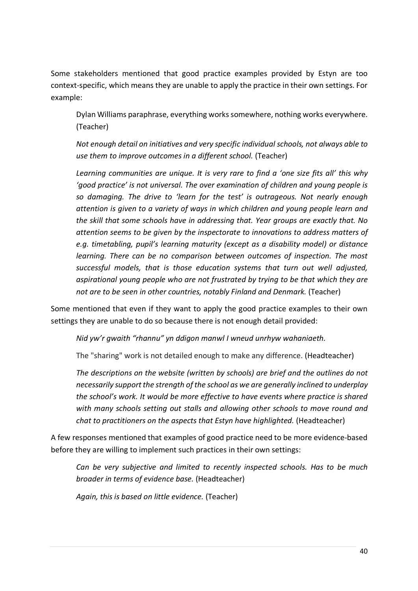Some stakeholders mentioned that good practice examples provided by Estyn are too context-specific, which means they are unable to apply the practice in their own settings. For example:

Dylan Williams paraphrase, everything works somewhere, nothing works everywhere. (Teacher)

*Not enough detail on initiatives and very specific individual schools, not always able to use them to improve outcomes in a different school.* (Teacher)

*Learning communities are unique. It is very rare to find a 'one size fits all' this why 'good practice' is not universal. The over examination of children and young people is so damaging. The drive to 'learn for the test' is outrageous. Not nearly enough attention is given to a variety of ways in which children and young people learn and the skill that some schools have in addressing that. Year groups are exactly that. No attention seems to be given by the inspectorate to innovations to address matters of e.g. timetabling, pupil's learning maturity (except as a disability model) or distance learning. There can be no comparison between outcomes of inspection. The most successful models, that is those education systems that turn out well adjusted, aspirational young people who are not frustrated by trying to be that which they are not are to be seen in other countries, notably Finland and Denmark.* (Teacher)

Some mentioned that even if they want to apply the good practice examples to their own settings they are unable to do so because there is not enough detail provided:

*Nid yw'r gwaith "rhannu" yn ddigon manwl I wneud unrhyw wahaniaeth.* 

The "sharing" work is not detailed enough to make any difference. (Headteacher)

*The descriptions on the website (written by schools) are brief and the outlines do not necessarily support the strength of the school as we are generally inclined to underplay the school's work. It would be more effective to have events where practice is shared with many schools setting out stalls and allowing other schools to move round and chat to practitioners on the aspects that Estyn have highlighted.* (Headteacher)

A few responses mentioned that examples of good practice need to be more evidence-based before they are willing to implement such practices in their own settings:

*Can be very subjective and limited to recently inspected schools. Has to be much broader in terms of evidence base.* (Headteacher)

*Again, this is based on little evidence.* (Teacher)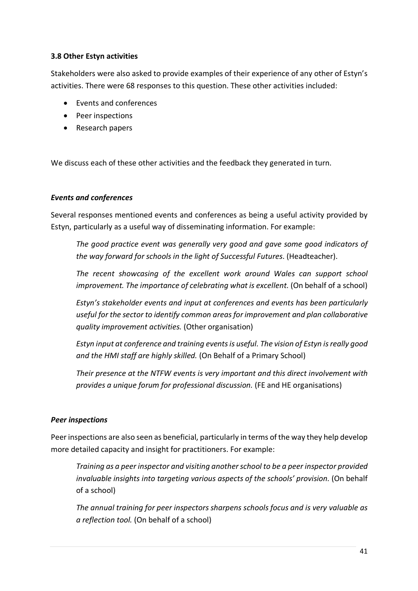## **3.8 Other Estyn activities**

Stakeholders were also asked to provide examples of their experience of any other of Estyn's activities. There were 68 responses to this question. These other activities included:

- Events and conferences
- Peer inspections
- Research papers

We discuss each of these other activities and the feedback they generated in turn.

#### *Events and conferences*

Several responses mentioned events and conferences as being a useful activity provided by Estyn, particularly as a useful way of disseminating information. For example:

*The good practice event was generally very good and gave some good indicators of the way forward for schools in the light of Successful Futures*. (Headteacher).

*The recent showcasing of the excellent work around Wales can support school improvement. The importance of celebrating what is excellent.* (On behalf of a school)

*Estyn's stakeholder events and input at conferences and events has been particularly useful for the sector to identify common areas for improvement and plan collaborative quality improvement activities.* (Other organisation)

*Estyn input at conference and training events is useful. The vision of Estyn is really good and the HMI staff are highly skilled.* (On Behalf of a Primary School)

*Their presence at the NTFW events is very important and this direct involvement with provides a unique forum for professional discussion.* (FE and HE organisations)

### *Peer inspections*

Peer inspections are also seen as beneficial, particularly in terms of the way they help develop more detailed capacity and insight for practitioners. For example:

*Training as a peer inspector and visiting another school to be a peer inspector provided invaluable insights into targeting various aspects of the schools' provision.* (On behalf of a school)

*The annual training for peer inspectors sharpens schools focus and is very valuable as a reflection tool.* (On behalf of a school)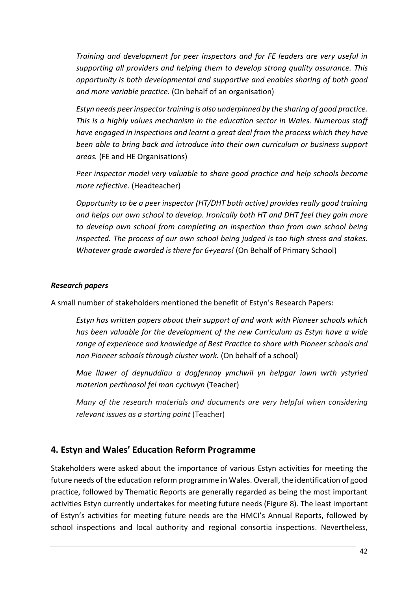*Training and development for peer inspectors and for FE leaders are very useful in supporting all providers and helping them to develop strong quality assurance. This opportunity is both developmental and supportive and enables sharing of both good and more variable practice.* (On behalf of an organisation)

*Estyn needs peer inspector training is also underpinned by the sharing of good practice. This is a highly values mechanism in the education sector in Wales. Numerous staff have engaged in inspections and learnt a great deal from the process which they have been able to bring back and introduce into their own curriculum or business support areas.* (FE and HE Organisations)

*Peer inspector model very valuable to share good practice and help schools become more reflective.* (Headteacher)

*Opportunity to be a peer inspector (HT/DHT both active) provides really good training and helps our own school to develop. Ironically both HT and DHT feel they gain more*  to develop own school from completing an inspection than from own school being *inspected. The process of our own school being judged is too high stress and stakes. Whatever grade awarded is there for 6+years!* (On Behalf of Primary School)

### *Research papers*

A small number of stakeholders mentioned the benefit of Estyn's Research Papers:

*Estyn has written papers about their support of and work with Pioneer schools which has been valuable for the development of the new Curriculum as Estyn have a wide range of experience and knowledge of Best Practice to share with Pioneer schools and non Pioneer schools through cluster work.* (On behalf of a school)

*Mae llawer of deynuddiau a dogfennay ymchwil yn helpgar iawn wrth ystyried materion perthnasol fel man cychwyn* (Teacher)

*Many of the research materials and documents are very helpful when considering relevant issues as a starting point* (Teacher)

## **4. Estyn and Wales' Education Reform Programme**

Stakeholders were asked about the importance of various Estyn activities for meeting the future needs of the education reform programme in Wales. Overall, the identification of good practice, followed by Thematic Reports are generally regarded as being the most important activities Estyn currently undertakes for meeting future needs (Figure 8). The least important of Estyn's activities for meeting future needs are the HMCI's Annual Reports, followed by school inspections and local authority and regional consortia inspections. Nevertheless,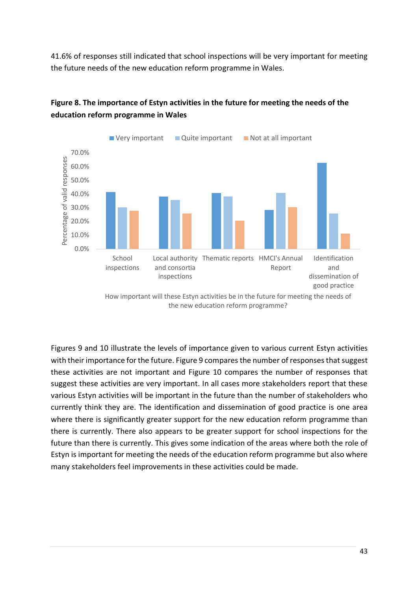41.6% of responses still indicated that school inspections will be very important for meeting the future needs of the new education reform programme in Wales.



## **Figure 8. The importance of Estyn activities in the future for meeting the needs of the education reform programme in Wales**

Figures 9 and 10 illustrate the levels of importance given to various current Estyn activities with their importance for the future. Figure 9 compares the number of responses that suggest these activities are not important and Figure 10 compares the number of responses that suggest these activities are very important. In all cases more stakeholders report that these various Estyn activities will be important in the future than the number of stakeholders who currently think they are. The identification and dissemination of good practice is one area where there is significantly greater support for the new education reform programme than there is currently. There also appears to be greater support for school inspections for the future than there is currently. This gives some indication of the areas where both the role of Estyn is important for meeting the needs of the education reform programme but also where many stakeholders feel improvements in these activities could be made.

How important will these Estyn activities be in the future for meeting the needs of the new education reform programme?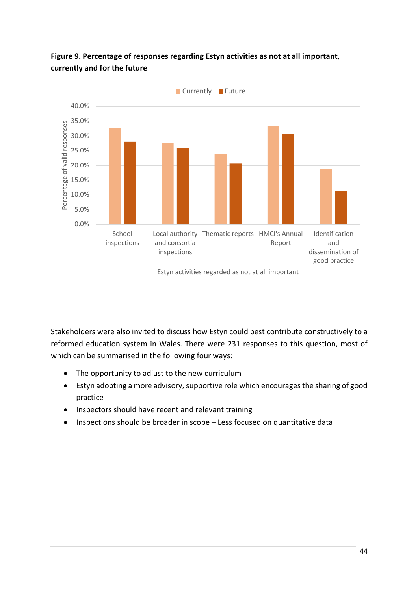

## **Figure 9. Percentage of responses regarding Estyn activities as not at all important, currently and for the future**

Stakeholders were also invited to discuss how Estyn could best contribute constructively to a reformed education system in Wales. There were 231 responses to this question, most of which can be summarised in the following four ways:

- The opportunity to adjust to the new curriculum
- Estyn adopting a more advisory, supportive role which encourages the sharing of good practice
- Inspectors should have recent and relevant training
- Inspections should be broader in scope Less focused on quantitative data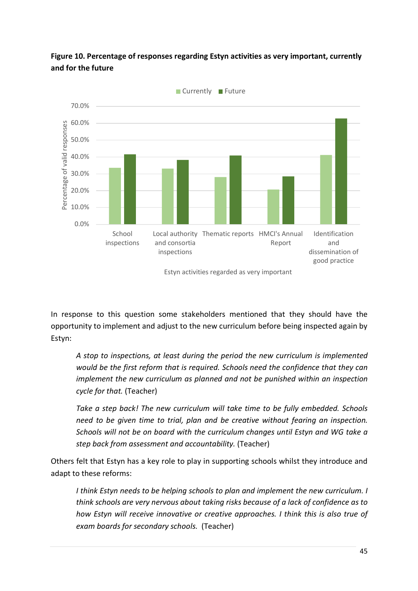

**Figure 10. Percentage of responses regarding Estyn activities as very important, currently and for the future**

In response to this question some stakeholders mentioned that they should have the opportunity to implement and adjust to the new curriculum before being inspected again by Estyn:

*A stop to inspections, at least during the period the new curriculum is implemented would be the first reform that is required. Schools need the confidence that they can implement the new curriculum as planned and not be punished within an inspection cycle for that.* (Teacher)

*Take a step back! The new curriculum will take time to be fully embedded. Schools need to be given time to trial, plan and be creative without fearing an inspection. Schools will not be on board with the curriculum changes until Estyn and WG take a step back from assessment and accountability.* (Teacher)

Others felt that Estyn has a key role to play in supporting schools whilst they introduce and adapt to these reforms:

*I think Estyn needs to be helping schools to plan and implement the new curriculum. I think schools are very nervous about taking risks because of a lack of confidence as to how Estyn will receive innovative or creative approaches. I think this is also true of exam boards for secondary schools.* (Teacher)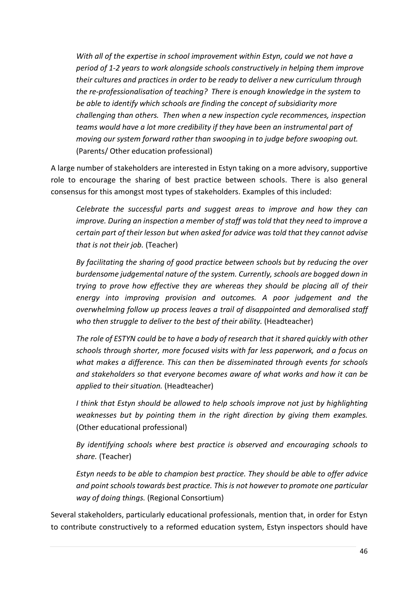*With all of the expertise in school improvement within Estyn, could we not have a period of 1-2 years to work alongside schools constructively in helping them improve their cultures and practices in order to be ready to deliver a new curriculum through the re-professionalisation of teaching? There is enough knowledge in the system to be able to identify which schools are finding the concept of subsidiarity more challenging than others. Then when a new inspection cycle recommences, inspection teams would have a lot more credibility if they have been an instrumental part of moving our system forward rather than swooping in to judge before swooping out.* (Parents/ Other education professional)

A large number of stakeholders are interested in Estyn taking on a more advisory, supportive role to encourage the sharing of best practice between schools. There is also general consensus for this amongst most types of stakeholders. Examples of this included:

*Celebrate the successful parts and suggest areas to improve and how they can improve. During an inspection a member of staff was told that they need to improve a certain part of their lesson but when asked for advice was told that they cannot advise that is not their job.* (Teacher)

*By facilitating the sharing of good practice between schools but by reducing the over burdensome judgemental nature of the system. Currently, schools are bogged down in trying to prove how effective they are whereas they should be placing all of their energy into improving provision and outcomes. A poor judgement and the overwhelming follow up process leaves a trail of disappointed and demoralised staff who then struggle to deliver to the best of their ability.* (Headteacher)

*The role of ESTYN could be to have a body of research that it shared quickly with other schools through shorter, more focused visits with far less paperwork, and a focus on what makes a difference. This can then be disseminated through events for schools and stakeholders so that everyone becomes aware of what works and how it can be applied to their situation.* (Headteacher)

*I think that Estyn should be allowed to help schools improve not just by highlighting weaknesses but by pointing them in the right direction by giving them examples.* (Other educational professional)

*By identifying schools where best practice is observed and encouraging schools to share.* (Teacher)

*Estyn needs to be able to champion best practice. They should be able to offer advice and point schools towards best practice. This is not however to promote one particular way of doing things.* (Regional Consortium)

Several stakeholders, particularly educational professionals, mention that, in order for Estyn to contribute constructively to a reformed education system, Estyn inspectors should have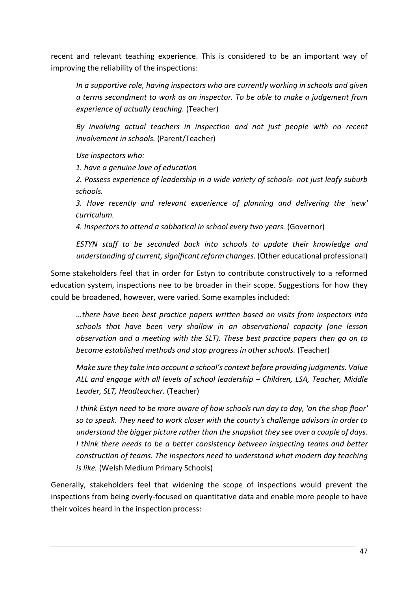recent and relevant teaching experience. This is considered to be an important way of improving the reliability of the inspections:

*In a supportive role, having inspectors who are currently working in schools and given a terms secondment to work as an inspector. To be able to make a judgement from experience of actually teaching.* (Teacher)

*By involving actual teachers in inspection and not just people with no recent involvement in schools.* (Parent/Teacher)

*Use inspectors who:*

*1. have a genuine love of education*

*2. Possess experience of leadership in a wide variety of schools- not just leafy suburb schools.*

*3. Have recently and relevant experience of planning and delivering the 'new' curriculum.*

*4. Inspectors to attend a sabbatical in school every two years.* (Governor)

*ESTYN staff to be seconded back into schools to update their knowledge and understanding of current, significant reform changes.* (Other educational professional)

Some stakeholders feel that in order for Estyn to contribute constructively to a reformed education system, inspections nee to be broader in their scope. Suggestions for how they could be broadened, however, were varied. Some examples included:

*…there have been best practice papers written based on visits from inspectors into schools that have been very shallow in an observational capacity (one lesson observation and a meeting with the SLT). These best practice papers then go on to become established methods and stop progress in other schools.* (Teacher)

*Make sure they take into account a school's context before providing judgments. Value ALL and engage with all levels of school leadership – Children, LSA, Teacher, Middle Leader, SLT, Headteacher.* (Teacher)

*I think Estyn need to be more aware of how schools run day to day, 'on the shop floor' so to speak. They need to work closer with the county's challenge advisors in order to understand the bigger picture rather than the snapshot they see over a couple of days. I think there needs to be a better consistency between inspecting teams and better construction of teams. The inspectors need to understand what modern day teaching is like.* (Welsh Medium Primary Schools)

Generally, stakeholders feel that widening the scope of inspections would prevent the inspections from being overly-focused on quantitative data and enable more people to have their voices heard in the inspection process: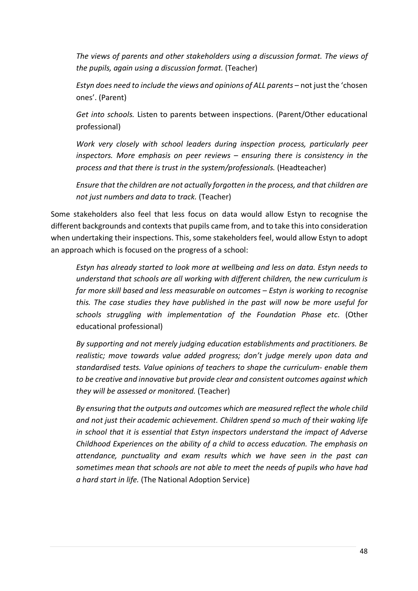*The views of parents and other stakeholders using a discussion format. The views of the pupils, again using a discussion format.* (Teacher)

*Estyn does need to include the views and opinions of ALL parents –* not just the 'chosen ones'. (Parent)

*Get into schools.* Listen to parents between inspections. (Parent/Other educational professional)

*Work very closely with school leaders during inspection process, particularly peer inspectors. More emphasis on peer reviews – ensuring there is consistency in the process and that there is trust in the system/professionals.* (Headteacher)

*Ensure that the children are not actually forgotten in the process, and that children are not just numbers and data to track.* (Teacher)

Some stakeholders also feel that less focus on data would allow Estyn to recognise the different backgrounds and contexts that pupils came from, and to take this into consideration when undertaking their inspections. This, some stakeholders feel, would allow Estyn to adopt an approach which is focused on the progress of a school:

*Estyn has already started to look more at wellbeing and less on data. Estyn needs to understand that schools are all working with different children, the new curriculum is far more skill based and less measurable on outcomes – Estyn is working to recognise this. The case studies they have published in the past will now be more useful for schools struggling with implementation of the Foundation Phase etc*. (Other educational professional)

*By supporting and not merely judging education establishments and practitioners. Be realistic; move towards value added progress; don't judge merely upon data and standardised tests. Value opinions of teachers to shape the curriculum- enable them to be creative and innovative but provide clear and consistent outcomes against which they will be assessed or monitored.* (Teacher)

*By ensuring that the outputs and outcomes which are measured reflect the whole child and not just their academic achievement. Children spend so much of their waking life in school that it is essential that Estyn inspectors understand the impact of Adverse Childhood Experiences on the ability of a child to access education. The emphasis on attendance, punctuality and exam results which we have seen in the past can sometimes mean that schools are not able to meet the needs of pupils who have had a hard start in life.* (The National Adoption Service)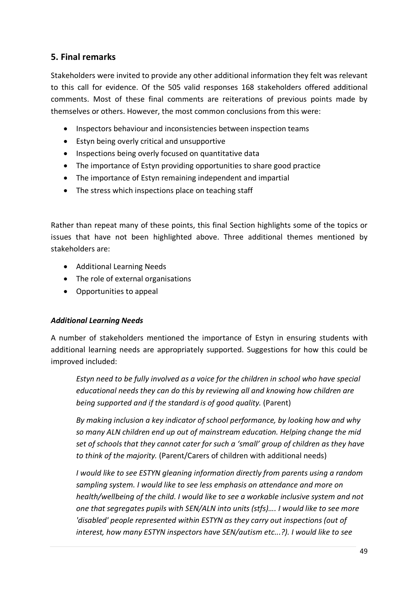## **5. Final remarks**

Stakeholders were invited to provide any other additional information they felt was relevant to this call for evidence. Of the 505 valid responses 168 stakeholders offered additional comments. Most of these final comments are reiterations of previous points made by themselves or others. However, the most common conclusions from this were:

- Inspectors behaviour and inconsistencies between inspection teams
- Estyn being overly critical and unsupportive
- Inspections being overly focused on quantitative data
- The importance of Estyn providing opportunities to share good practice
- The importance of Estyn remaining independent and impartial
- The stress which inspections place on teaching staff

Rather than repeat many of these points, this final Section highlights some of the topics or issues that have not been highlighted above. Three additional themes mentioned by stakeholders are:

- Additional Learning Needs
- The role of external organisations
- Opportunities to appeal

## *Additional Learning Needs*

A number of stakeholders mentioned the importance of Estyn in ensuring students with additional learning needs are appropriately supported. Suggestions for how this could be improved included:

*Estyn need to be fully involved as a voice for the children in school who have special educational needs they can do this by reviewing all and knowing how children are being supported and if the standard is of good quality.* (Parent)

*By making inclusion a key indicator of school performance, by looking how and why so many ALN children end up out of mainstream education. Helping change the mid set of schools that they cannot cater for such a 'small' group of children as they have to think of the majority.* (Parent/Carers of children with additional needs)

*I would like to see ESTYN gleaning information directly from parents using a random sampling system. I would like to see less emphasis on attendance and more on health/wellbeing of the child. I would like to see a workable inclusive system and not one that segregates pupils with SEN/ALN into units (stfs)…. I would like to see more 'disabled' people represented within ESTYN as they carry out inspections (out of interest, how many ESTYN inspectors have SEN/autism etc...?). I would like to see*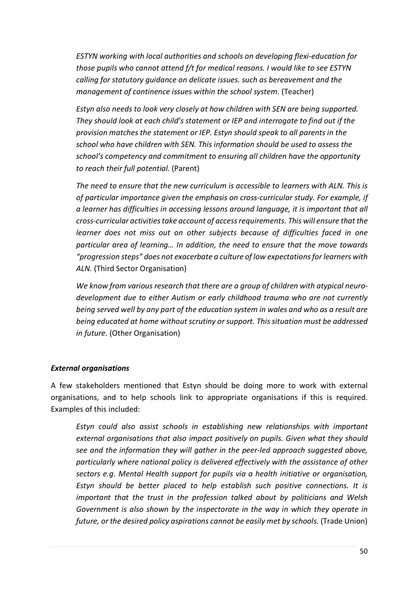*ESTYN working with local authorities and schools on developing flexi-education for those pupils who cannot attend f/t for medical reasons. I would like to see ESTYN calling for statutory guidance on delicate issues. such as bereavement and the management of continence issues within the school system.* (Teacher)

*Estyn also needs to look very closely at how children with SEN are being supported. They should look at each child's statement or IEP and interrogate to find out if the provision matches the statement or IEP. Estyn should speak to all parents in the school who have children with SEN. This information should be used to assess the school's competency and commitment to ensuring all children have the opportunity to reach their full potential.* (Parent)

*The need to ensure that the new curriculum is accessible to learners with ALN. This is of particular importance given the emphasis on cross-curricular study. For example, if a learner has difficulties in accessing lessons around language, it is important that all cross-curricular activities take account of access requirements. This will ensure that the learner does not miss out on other subjects because of difficulties faced in one particular area of learning… In addition, the need to ensure that the move towards "progression steps" does not exacerbate a culture of low expectations for learners with ALN.* (Third Sector Organisation)

*We know from various research that there are a group of children with atypical neurodevelopment due to either Autism or early childhood trauma who are not currently being served well by any part of the education system in wales and who as a result are being educated at home without scrutiny or support. This situation must be addressed in future.* (Other Organisation)

### *External organisations*

A few stakeholders mentioned that Estyn should be doing more to work with external organisations, and to help schools link to appropriate organisations if this is required. Examples of this included:

*Estyn could also assist schools in establishing new relationships with important external organisations that also impact positively on pupils. Given what they should see and the information they will gather in the peer-led approach suggested above, particularly where national policy is delivered effectively with the assistance of other sectors e.g. Mental Health support for pupils via a health initiative or organisation, Estyn should be better placed to help establish such positive connections. It is important that the trust in the profession talked about by politicians and Welsh Government is also shown by the inspectorate in the way in which they operate in future, or the desired policy aspirations cannot be easily met by schools.* (Trade Union)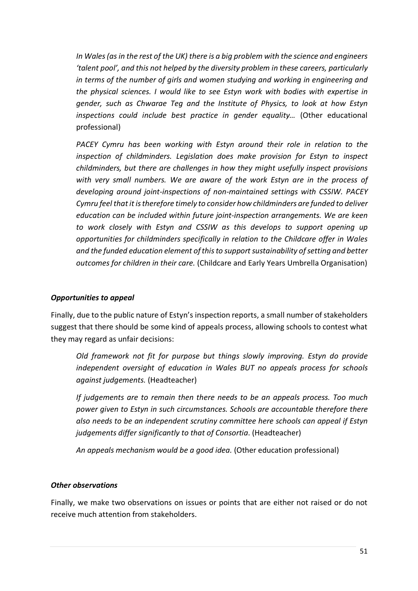*In Wales (as in the rest of the UK) there is a big problem with the science and engineers 'talent pool', and this not helped by the diversity problem in these careers, particularly in terms of the number of girls and women studying and working in engineering and the physical sciences. I would like to see Estyn work with bodies with expertise in gender, such as Chwarae Teg and the Institute of Physics, to look at how Estyn inspections could include best practice in gender equality…* (Other educational professional)

*PACEY Cymru has been working with Estyn around their role in relation to the inspection of childminders. Legislation does make provision for Estyn to inspect childminders, but there are challenges in how they might usefully inspect provisions with very small numbers. We are aware of the work Estyn are in the process of developing around joint-inspections of non-maintained settings with CSSIW. PACEY Cymru feel that it is therefore timely to consider how childminders are funded to deliver education can be included within future joint-inspection arrangements. We are keen to work closely with Estyn and CSSIW as this develops to support opening up opportunities for childminders specifically in relation to the Childcare offer in Wales and the funded education element of this to support sustainability of setting and better outcomes for children in their care.* (Childcare and Early Years Umbrella Organisation)

#### *Opportunities to appeal*

Finally, due to the public nature of Estyn's inspection reports, a small number of stakeholders suggest that there should be some kind of appeals process, allowing schools to contest what they may regard as unfair decisions:

*Old framework not fit for purpose but things slowly improving. Estyn do provide independent oversight of education in Wales BUT no appeals process for schools against judgements.* (Headteacher)

*If judgements are to remain then there needs to be an appeals process. Too much power given to Estyn in such circumstances. Schools are accountable therefore there also needs to be an independent scrutiny committee here schools can appeal if Estyn judgements differ significantly to that of Consortia*. (Headteacher)

*An appeals mechanism would be a good idea.* (Other education professional)

### *Other observations*

Finally, we make two observations on issues or points that are either not raised or do not receive much attention from stakeholders.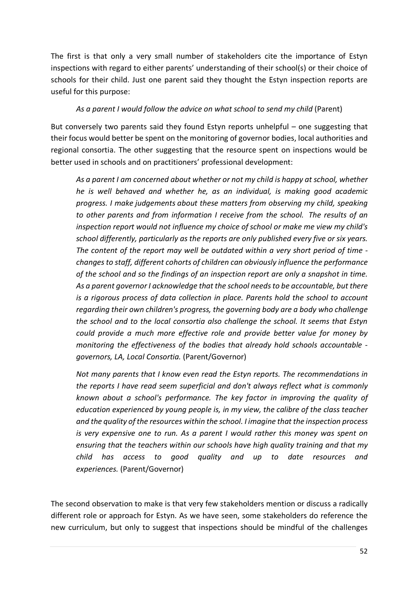The first is that only a very small number of stakeholders cite the importance of Estyn inspections with regard to either parents' understanding of their school(s) or their choice of schools for their child. Just one parent said they thought the Estyn inspection reports are useful for this purpose:

### *As a parent I would follow the advice on what school to send my child* (Parent)

But conversely two parents said they found Estyn reports unhelpful – one suggesting that their focus would better be spent on the monitoring of governor bodies, local authorities and regional consortia. The other suggesting that the resource spent on inspections would be better used in schools and on practitioners' professional development:

*As a parent I am concerned about whether or not my child is happy at school, whether he is well behaved and whether he, as an individual, is making good academic progress. I make judgements about these matters from observing my child, speaking to other parents and from information I receive from the school. The results of an inspection report would not influence my choice of school or make me view my child's school differently, particularly as the reports are only published every five or six years. The content of the report may well be outdated within a very short period of time changes to staff, different cohorts of children can obviously influence the performance of the school and so the findings of an inspection report are only a snapshot in time. As a parent governor I acknowledge that the school needs to be accountable, but there is a rigorous process of data collection in place. Parents hold the school to account regarding their own children's progress, the governing body are a body who challenge the school and to the local consortia also challenge the school. It seems that Estyn could provide a much more effective role and provide better value for money by monitoring the effectiveness of the bodies that already hold schools accountable governors, LA, Local Consortia.* (Parent/Governor)

*Not many parents that I know even read the Estyn reports. The recommendations in the reports I have read seem superficial and don't always reflect what is commonly known about a school's performance. The key factor in improving the quality of education experienced by young people is, in my view, the calibre of the class teacher and the quality of the resources within the school. I imagine that the inspection process is very expensive one to run. As a parent I would rather this money was spent on ensuring that the teachers within our schools have high quality training and that my child has access to good quality and up to date resources and experiences.* (Parent/Governor)

The second observation to make is that very few stakeholders mention or discuss a radically different role or approach for Estyn. As we have seen, some stakeholders do reference the new curriculum, but only to suggest that inspections should be mindful of the challenges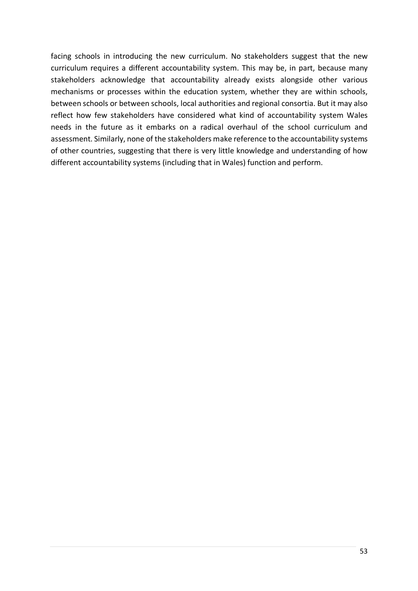facing schools in introducing the new curriculum. No stakeholders suggest that the new curriculum requires a different accountability system. This may be, in part, because many stakeholders acknowledge that accountability already exists alongside other various mechanisms or processes within the education system, whether they are within schools, between schools or between schools, local authorities and regional consortia. But it may also reflect how few stakeholders have considered what kind of accountability system Wales needs in the future as it embarks on a radical overhaul of the school curriculum and assessment. Similarly, none of the stakeholders make reference to the accountability systems of other countries, suggesting that there is very little knowledge and understanding of how different accountability systems (including that in Wales) function and perform.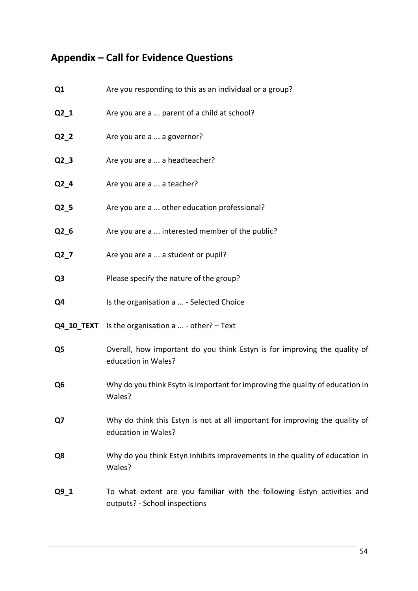# **Appendix – Call for Evidence Questions**

| Q1                | Are you responding to this as an individual or a group?                                                  |
|-------------------|----------------------------------------------------------------------------------------------------------|
| $Q2_1$            | Are you are a  parent of a child at school?                                                              |
| $Q2_2$            | Are you are a  a governor?                                                                               |
| $Q2_3$            | Are you are a  a headteacher?                                                                            |
| $Q2_4$            | Are you are a  a teacher?                                                                                |
| $Q2_5$            | Are you are a  other education professional?                                                             |
| Q2_6              | Are you are a  interested member of the public?                                                          |
| $Q2_7$            | Are you are a  a student or pupil?                                                                       |
| Q <sub>3</sub>    | Please specify the nature of the group?                                                                  |
| Q4                | Is the organisation a  - Selected Choice                                                                 |
| <b>Q4 10 TEXT</b> | Is the organisation a $\dots$ - other? - Text                                                            |
| Q5                | Overall, how important do you think Estyn is for improving the quality of<br>education in Wales?         |
| Q <sub>6</sub>    | Why do you think Esytn is important for improving the quality of education in<br>Wales?                  |
| Q7                | Why do think this Estyn is not at all important for improving the quality of<br>education in Wales?      |
| Q8                | Why do you think Estyn inhibits improvements in the quality of education in<br>Wales?                    |
| $Q9_1$            | To what extent are you familiar with the following Estyn activities and<br>outputs? - School inspections |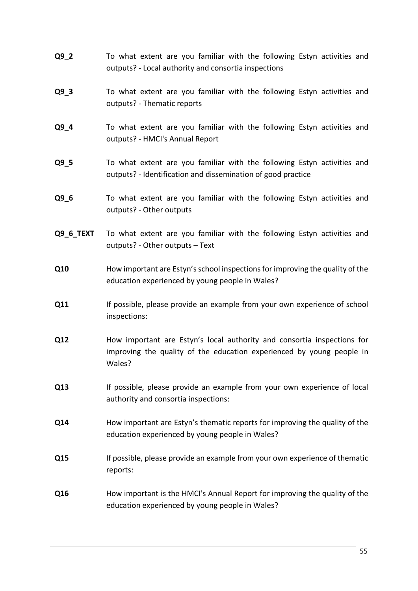- **Q9\_2** To what extent are you familiar with the following Estyn activities and outputs? - Local authority and consortia inspections
- **Q9\_3** To what extent are you familiar with the following Estyn activities and outputs? - Thematic reports
- **Q9 4** To what extent are you familiar with the following Estyn activities and outputs? - HMCI's Annual Report
- **Q9\_5** To what extent are you familiar with the following Estyn activities and outputs? - Identification and dissemination of good practice
- **Q9\_6** To what extent are you familiar with the following Estyn activities and outputs? - Other outputs
- **Q9 6 TEXT** To what extent are you familiar with the following Estyn activities and outputs? - Other outputs – Text
- **Q10** How important are Estyn's school inspections for improving the quality of the education experienced by young people in Wales?
- **Q11** If possible, please provide an example from your own experience of school inspections:
- **Q12** How important are Estyn's local authority and consortia inspections for improving the quality of the education experienced by young people in Wales?
- **Q13** If possible, please provide an example from your own experience of local authority and consortia inspections:
- **Q14** How important are Estyn's thematic reports for improving the quality of the education experienced by young people in Wales?
- **Q15** If possible, please provide an example from your own experience of thematic reports:
- **Q16** How important is the HMCI's Annual Report for improving the quality of the education experienced by young people in Wales?